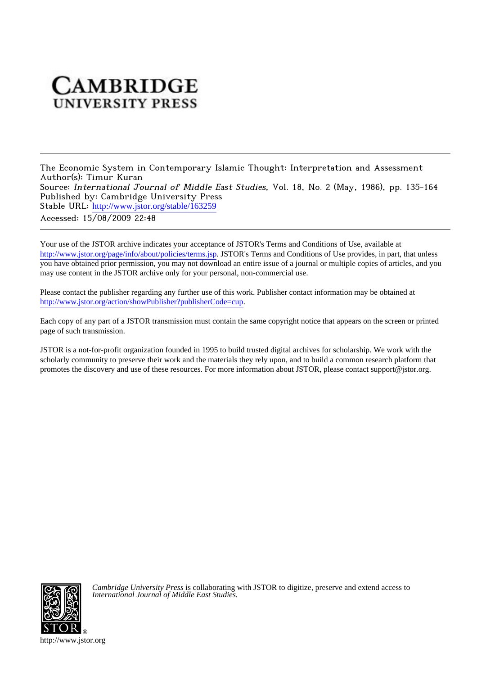# **CAMBRIDGE UNIVERSITY PRESS**

The Economic System in Contemporary Islamic Thought: Interpretation and Assessment Author(s): Timur Kuran Source: International Journal of Middle East Studies, Vol. 18, No. 2 (May, 1986), pp. 135-164 Published by: Cambridge University Press Stable URL: [http://www.jstor.org/stable/163259](http://www.jstor.org/stable/163259?origin=JSTOR-pdf) Accessed: 15/08/2009 22:48

Your use of the JSTOR archive indicates your acceptance of JSTOR's Terms and Conditions of Use, available at <http://www.jstor.org/page/info/about/policies/terms.jsp>. JSTOR's Terms and Conditions of Use provides, in part, that unless you have obtained prior permission, you may not download an entire issue of a journal or multiple copies of articles, and you may use content in the JSTOR archive only for your personal, non-commercial use.

Please contact the publisher regarding any further use of this work. Publisher contact information may be obtained at <http://www.jstor.org/action/showPublisher?publisherCode=cup>.

Each copy of any part of a JSTOR transmission must contain the same copyright notice that appears on the screen or printed page of such transmission.

JSTOR is a not-for-profit organization founded in 1995 to build trusted digital archives for scholarship. We work with the scholarly community to preserve their work and the materials they rely upon, and to build a common research platform that promotes the discovery and use of these resources. For more information about JSTOR, please contact support@jstor.org.



*Cambridge University Press* is collaborating with JSTOR to digitize, preserve and extend access to *International Journal of Middle East Studies.*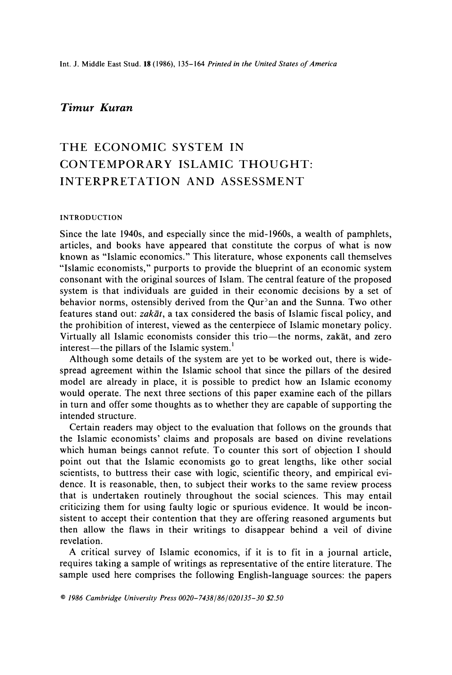# **THE ECONOMIC SYSTEM IN CONTEMPORARY ISLAMIC THOUGHT: INTERPRETATION AND ASSESSMENT**

#### **INTRODUCTION**

**Since the late 1940s, and especially since the mid-1960s, a wealth of pamphlets, articles, and books have appeared that constitute the corpus of what is now known as "Islamic economics." This literature, whose exponents call themselves "Islamic economists," purports to provide the blueprint of an economic system consonant with the original sources of Islam. The central feature of the proposed system is that individuals are guided in their economic decisions by a set of behavior norms, ostensibly derived from the Qur'an and the Sunna. Two other**  features stand out: zakāt, a tax considered the basis of Islamic fiscal policy, and **the prohibition of interest, viewed as the centerpiece of Islamic monetary policy. Virtually all Islamic economists consider this trio-the norms, zakat, and zero**  interest—the pillars of the Islamic system.<sup>1</sup>

**Although some details of the system are yet to be worked out, there is widespread agreement within the Islamic school that since the pillars of the desired model are already in place, it is possible to predict how an Islamic economy would operate. The next three sections of this paper examine each of the pillars in turn and offer some thoughts as to whether they are capable of supporting the intended structure.** 

**Certain readers may object to the evaluation that follows on the grounds that the Islamic economists' claims and proposals are based on divine revelations which human beings cannot refute. To counter this sort of objection I should point out that the Islamic economists go to great lengths, like other social scientists, to buttress their case with logic, scientific theory, and empirical evidence. It is reasonable, then, to subject their works to the same review process that is undertaken routinely throughout the social sciences. This may entail criticizing them for using faulty logic or spurious evidence. It would be inconsistent to accept their contention that they are offering reasoned arguments but then allow the flaws in their writings to disappear behind a veil of divine revelation.** 

**A critical survey of Islamic economics, if it is to fit in a journal article, requires taking a sample of writings as representative of the entire literature. The sample used here comprises the following English-language sources: the papers** 

**? 1986 Cambridge University Press 0020-7438/86/020135-30 \$2.50**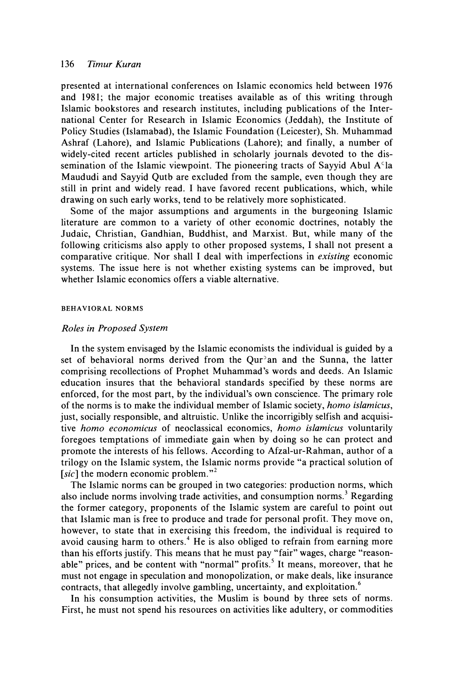**presented at international conferences on Islamic economics held between 1976 and 1981; the major economic treatises available as of this writing through Islamic bookstores and research institutes, including publications of the International Center for Research in Islamic Economics (Jeddah), the Institute of Policy Studies (Islamabad), the Islamic Foundation (Leicester), Sh. Muhammad Ashraf (Lahore), and Islamic Publications (Lahore); and finally, a number of widely-cited recent articles published in scholarly journals devoted to the dissemination of the Islamic viewpoint. The pioneering tracts of Sayyid Abul A'la Maududi and Sayyid Qutb are excluded from the sample, even though they are still in print and widely read. I have favored recent publications, which, while drawing on such early works, tend to be relatively more sophisticated.** 

**Some of the major assumptions and arguments in the burgeoning Islamic literature are common to a variety of other economic doctrines, notably the Judaic, Christian, Gandhian, Buddhist, and Marxist. But, while many of the following criticisms also apply to other proposed systems, I shall not present a comparative critique. Nor shall I deal with imperfections in existing economic systems. The issue here is not whether existing systems can be improved, but whether Islamic economics offers a viable alternative.** 

#### **BEHAVIORAL NORMS**

#### **Roles in Proposed System**

**In the system envisaged by the Islamic economists the individual is guided by a set of behavioral norms derived from the Qur'an and the Sunna, the latter comprising recollections of Prophet Muhammad's words and deeds. An Islamic education insures that the behavioral standards specified by these norms are enforced, for the most part, by the individual's own conscience. The primary role of the norms is to make the individual member of Islamic society, homo islamicus, just, socially responsible, and altruistic. Unlike the incorrigibly selfish and acquisitive homo economicus of neoclassical economics, homo islamicus voluntarily foregoes temptations of immediate gain when by doing so he can protect and promote the interests of his fellows. According to Afzal-ur-Rahman, author of a trilogy on the Islamic system, the Islamic norms provide "a practical solution of [sic] the modern economic problem."2** 

**The Islamic norms can be grouped in two categories: production norms, which also include norms involving trade activities, and consumption norms.3 Regarding the former category, proponents of the Islamic system are careful to point out that Islamic man is free to produce and trade for personal profit. They move on, however, to state that in exercising this freedom, the individual is required to avoid causing harm to others.4 He is also obliged to refrain from earning more than his efforts justify. This means that he must pay "fair" wages, charge "reason**able" prices, and be content with "normal" profits.<sup>5</sup> It means, moreover, that he **must not engage in speculation and monopolization, or make deals, like insurance contracts, that allegedly involve gambling, uncertainty, and exploitation.6** 

**In his consumption activities, the Muslim is bound by three sets of norms. First, he must not spend his resources on activities like adultery, or commodities**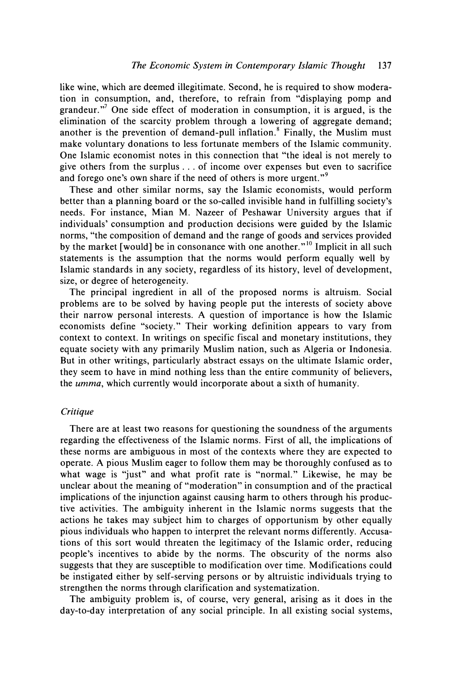**like wine, which are deemed illegitimate. Second, he is required to show moderation in consumption, and, therefore, to refrain from "displaying pomp and grandeur."7 One side effect of moderation in consumption, it is argued, is the elimination of the scarcity problem through a lowering of aggregate demand; another is the prevention of demand-pull inflation.8 Finally, the Muslim must make voluntary donations to less fortunate members of the Islamic community. One Islamic economist notes in this connection that "the ideal is not merely to give others from the surplus... of income over expenses but even to sacrifice and forego one's own share if the need of others is more urgent."9** 

**These and other similar norms, say the Islamic economists, would perform better than a planning board or the so-called invisible hand in fulfilling society's needs. For instance, Mian M. Nazeer of Peshawar University argues that if individuals' consumption and production decisions were guided by the Islamic norms, "the composition of demand and the range of goods and services provided by the market [would] be in consonance with one another."'0 Implicit in all such statements is the assumption that the norms would perform equally well by Islamic standards in any society, regardless of its history, level of development, size, or degree of heterogeneity.** 

**The principal ingredient in all of the proposed norms is altruism. Social problems are to be solved by having people put the interests of society above their narrow personal interests. A question of importance is how the Islamic economists define "society." Their working definition appears to vary from context to context. In writings on specific fiscal and monetary institutions, they equate society with any primarily Muslim nation, such as Algeria or Indonesia. But in other writings, particularly abstract essays on the ultimate Islamic order, they seem to have in mind nothing less than the entire community of believers, the umma, which currently would incorporate about a sixth of humanity.** 

#### **Critique**

**There are at least two reasons for questioning the soundness of the arguments regarding the effectiveness of the Islamic norms. First of all, the implications of these norms are ambiguous in most of the contexts where they are expected to operate. A pious Muslim eager to follow them may be thoroughly confused as to what wage is "just" and what profit rate is "normal." Likewise, he may be unclear about the meaning of "moderation" in consumption and of the practical implications of the injunction against causing harm to others through his productive activities. The ambiguity inherent in the Islamic norms suggests that the actions he takes may subject him to charges of opportunism by other equally pious individuals who happen to interpret the relevant norms differently. Accusations of this sort would threaten the legitimacy of the Islamic order, reducing people's incentives to abide by the norms. The obscurity of the norms also suggests that they are susceptible to modification over time. Modifications could be instigated either by self-serving persons or by altruistic individuals trying to strengthen the norms through clarification and systematization.** 

**The ambiguity problem is, of course, very general, arising as it does in the day-to-day interpretation of any social principle. In all existing social systems,**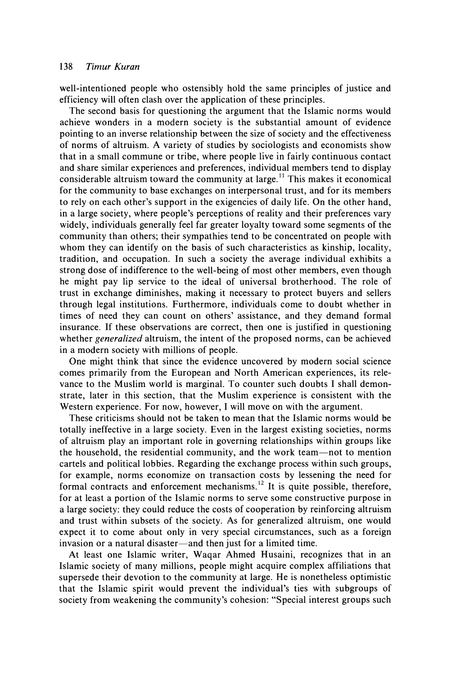**well-intentioned people who ostensibly hold the same principles of justice and efficiency will often clash over the application of these principles.** 

**The second basis for questioning the argument that the Islamic norms would achieve wonders in a modern society is the substantial amount of evidence pointing to an inverse relationship between the size of society and the effectiveness of norms of altruism. A variety of studies by sociologists and economists show that in a small commune or tribe, where people live in fairly continuous contact and share similar experiences and preferences, individual members tend to display considerable altruism toward the community at large.'1 This makes it economical for the community to base exchanges on interpersonal trust, and for its members to rely on each other's support in the exigencies of daily life. On the other hand, in a large society, where people's perceptions of reality and their preferences vary widely, individuals generally feel far greater loyalty toward some segments of the community than others; their sympathies tend to be concentrated on people with whom they can identify on the basis of such characteristics as kinship, locality, tradition, and occupation. In such a society the average individual exhibits a strong dose of indifference to the well-being of most other members, even though he might pay lip service to the ideal of universal brotherhood. The role of trust in exchange diminishes, making it necessary to protect buyers and sellers through legal institutions. Furthermore, individuals come to doubt whether in times of need they can count on others' assistance, and they demand formal insurance. If these observations are correct, then one is justified in questioning whether generalized altruism, the intent of the proposed norms, can be achieved in a modern society with millions of people.** 

**One might think that since the evidence uncovered by modern social science comes primarily from the European and North American experiences, its relevance to the Muslim world is marginal. To counter such doubts I shall demonstrate, later in this section, that the Muslim experience is consistent with the Western experience. For now, however, I will move on with the argument.** 

**These criticisms should not be taken to mean that the Islamic norms would be totally ineffective in a large society. Even in the largest existing societies, norms of altruism play an important role in governing relationships within groups like the household, the residential community, and the work team-not to mention cartels and political lobbies. Regarding the exchange process within such groups, for example, norms economize on transaction costs by lessening the need for formal contracts and enforcement mechanisms.'2 It is quite possible, therefore, for at least a portion of the Islamic norms to serve some constructive purpose in a large society: they could reduce the costs of cooperation by reinforcing altruism and trust within subsets of the society. As for generalized altruism, one would expect it to come about only in very special circumstances, such as a foreign**  invasion or a natural disaster—and then just for a limited time.

**At least one Islamic writer, Waqar Ahmed Husaini, recognizes that in an Islamic society of many millions, people might acquire complex affiliations that supersede their devotion to the community at large. He is nonetheless optimistic that the Islamic spirit would prevent the individual's ties with subgroups of society from weakening the community's cohesion: "Special interest groups such**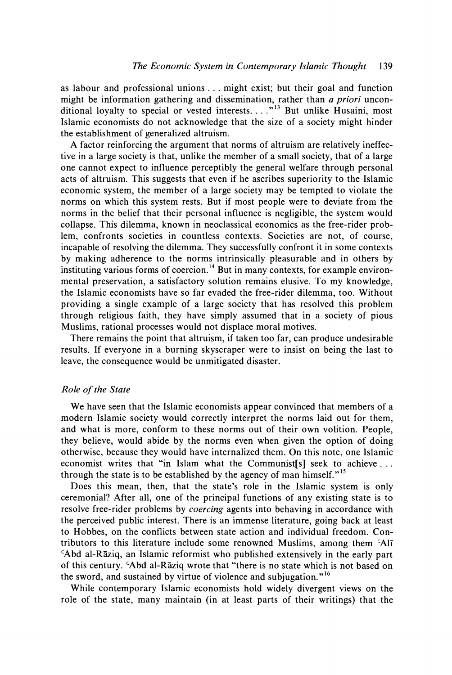**as labour and professional unions... might exist; but their goal and function might be information gathering and dissemination, rather than a priori unconditional loyalty to special or vested interests...."3 But unlike Husaini, most Islamic economists do not acknowledge that the size of a society might hinder the establishment of generalized altruism.** 

**A factor reinforcing the argument that norms of altruism are relatively ineffective in a large society is that, unlike the member of a small society, that of a large one cannot expect to influence perceptibly the general welfare through personal acts of altruism. This suggests that even if he ascribes superiority to the Islamic economic system, the member of a large society may be tempted to violate the norms on which this system rests. But if most people were to deviate from the norms in the belief that their personal influence is negligible, the system would collapse. This dilemma, known in neoclassical economics as the free-rider problem, confronts societies in countless contexts. Societies are not, of course, incapable of resolving the dilemma. They successfully confront it in some contexts by making adherence to the norms intrinsically pleasurable and in others by**  instituting various forms of coercion.<sup>14</sup> But in many contexts, for example environ**mental preservation, a satisfactory solution remains elusive. To my knowledge, the Islamic economists have so far evaded the free-rider dilemma, too. Without providing a single example of a large society that has resolved this problem through religious faith, they have simply assumed that in a society of pious Muslims, rational processes would not displace moral motives.** 

**There remains the point that altruism, if taken too far, can produce undesirable results. If everyone in a burning skyscraper were to insist on being the last to leave, the consequence would be unmitigated disaster.** 

#### **Role of the State**

**We have seen that the Islamic economists appear convinced that members of a modern Islamic society would correctly interpret the norms laid out for them, and what is more, conform to these norms out of their own volition. People, they believe, would abide by the norms even when given the option of doing otherwise, because they would have internalized them. On this note, one Islamic economist writes that "in Islam what the Communist[s] seek to achieve... through the state is to be established by the agency of man himself."'5** 

**Does this mean, then, that the state's role in the Islamic system is only ceremonial? After all, one of the principal functions of any existing state is to resolve free-rider problems by coercing agents into behaving in accordance with the perceived public interest. There is an immense literature, going back at least to Hobbes, on the conflicts between state action and individual freedom. Contributors to this literature include some renowned Muslims, among them CAli CAbd al-Raziq, an Islamic reformist who published extensively in the early part of this century. 'Abd al-Raziq wrote that "there is no state which is not based on the sword, and sustained by virtue of violence and subjugation."'6** 

**While contemporary Islamic economists hold widely divergent views on the role of the state, many maintain (in at least parts of their writings) that the**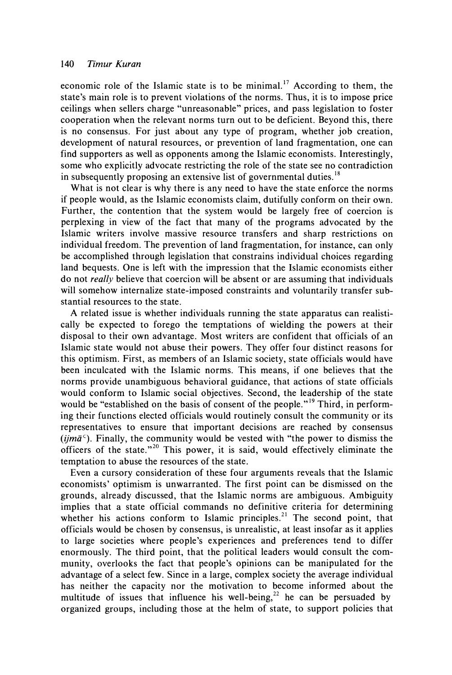**economic role of the Islamic state is to be minimal.'7 According to them, the state's main role is to prevent violations of the norms. Thus, it is to impose price ceilings when sellers charge "unreasonable" prices, and pass legislation to foster cooperation when the relevant norms turn out to be deficient. Beyond this, there is no consensus. For just about any type of program, whether job creation, development of natural resources, or prevention of land fragmentation, one can find supporters as well as opponents among the Islamic economists. Interestingly, some who explicitly advocate restricting the role of the state see no contradiction in subsequently proposing an extensive list of governmental duties.'8** 

**What is not clear is why there is any need to have the state enforce the norms if people would, as the Islamic economists claim, dutifully conform on their own. Further, the contention that the system would be largely free of coercion is perplexing in view of the fact that many of the programs advocated by the Islamic writers involve massive resource transfers and sharp restrictions on individual freedom. The prevention of land fragmentation, for instance, can only be accomplished through legislation that constrains individual choices regarding land bequests. One is left with the impression that the Islamic economists either do not really believe that coercion will be absent or are assuming that individuals will somehow internalize state-imposed constraints and voluntarily transfer substantial resources to the state.** 

**A related issue is whether individuals running the state apparatus can realistically be expected to forego the temptations of wielding the powers at their disposal to their own advantage. Most writers are confident that officials of an Islamic state would not abuse their powers. They offer four distinct reasons for this optimism. First, as members of an Islamic society, state officials would have been inculcated with the Islamic norms. This means, if one believes that the norms provide unambiguous behavioral guidance, that actions of state officials would conform to Islamic social objectives. Second, the leadership of the state**  would be "established on the basis of consent of the people."<sup>19</sup> Third, in perform**ing their functions elected officials would routinely consult the community or its representatives to ensure that important decisions are reached by consensus**  ( $ijm\bar{a}^c$ ). Finally, the community would be vested with "the power to dismiss the **officers of the state."20 This power, it is said, would effectively eliminate the temptation to abuse the resources of the state.** 

**Even a cursory consideration of these four arguments reveals that the Islamic economists' optimism is unwarranted. The first point can be dismissed on the grounds, already discussed, that the Islamic norms are ambiguous. Ambiguity implies that a state official commands no definitive criteria for determining**  whether his actions conform to Islamic principles.<sup>21</sup> The second point, that **officials would be chosen by consensus, is unrealistic, at least insofar as it applies to large societies where people's experiences and preferences tend to differ enormously. The third point, that the political leaders would consult the community, overlooks the fact that people's opinions can be manipulated for the advantage of a select few. Since in a large, complex society the average individual has neither the capacity nor the motivation to become informed about the**  multitude of issues that influence his well-being,<sup>22</sup> he can be persuaded by **organized groups, including those at the helm of state, to support policies that**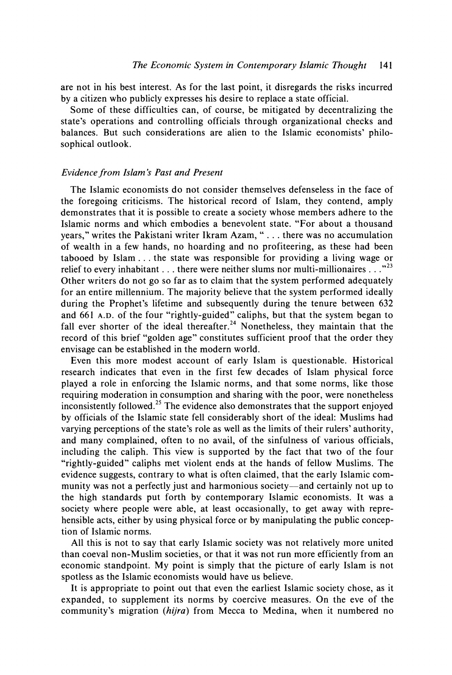**are not in his best interest. As for the last point, it disregards the risks incurred by a citizen who publicly expresses his desire to replace a state official.** 

**Some of these difficulties can, of course, be mitigated by decentralizing the state's operations and controlling officials through organizational checks and balances. But such considerations are alien to the Islamic economists' philosophical outlook.** 

# **Evidence from Islam's Past and Present**

**The Islamic economists do not consider themselves defenseless in the face of the foregoing criticisms. The historical record of Islam, they contend, amply demonstrates that it is possible to create a society whose members adhere to the Islamic norms and which embodies a benevolent state. "For about a thousand years," writes the Pakistani writer Ikram Azam, " . . . there was no accumulation of wealth in a few hands, no hoarding and no profiteering, as these had been tabooed by Islam... the state was responsible for providing a living wage or relief to every inhabitant ... there were neither slums nor multi-millionaires ...<sup>23</sup> Other writers do not go so far as to claim that the system performed adequately for an entire millennium. The majority believe that the system performed ideally during the Prophet's lifetime and subsequently during the tenure between 632 and 661 A.D. of the four "rightly-guided" caliphs, but that the system began to**  fall ever shorter of the ideal thereafter.<sup>24</sup> Nonetheless, they maintain that the **record of this brief "golden age" constitutes sufficient proof that the order they envisage can be established in the modern world.** 

**Even this more modest account of early Islam is questionable. Historical research indicates that even in the first few decades of Islam physical force played a role in enforcing the Islamic norms, and that some norms, like those requiring moderation in consumption and sharing with the poor, were nonetheless inconsistently followed.25 The evidence also demonstrates that the support enjoyed by officials of the Islamic state fell considerably short of the ideal: Muslims had varying perceptions of the state's role as well as the limits of their rulers' authority, and many complained, often to no avail, of the sinfulness of various officials, including the caliph. This view is supported by the fact that two of the four "rightly-guided" caliphs met violent ends at the hands of fellow Muslims. The evidence suggests, contrary to what is often claimed, that the early Islamic com**munity was not a perfectly just and harmonious society-and certainly not up to **the high standards put forth by contemporary Islamic economists. It was a society where people were able, at least occasionally, to get away with reprehensible acts, either by using physical force or by manipulating the public conception of Islamic norms.** 

**All this is not to say that early Islamic society was not relatively more united than coeval non-Muslim societies, or that it was not run more efficiently from an economic standpoint. My point is simply that the picture of early Islam is not spotless as the Islamic economists would have us believe.** 

**It is appropriate to point out that even the earliest Islamic society chose, as it expanded, to supplement its norms by coercive measures. On the eve of the community's migration (hijra) from Mecca to Medina, when it numbered no**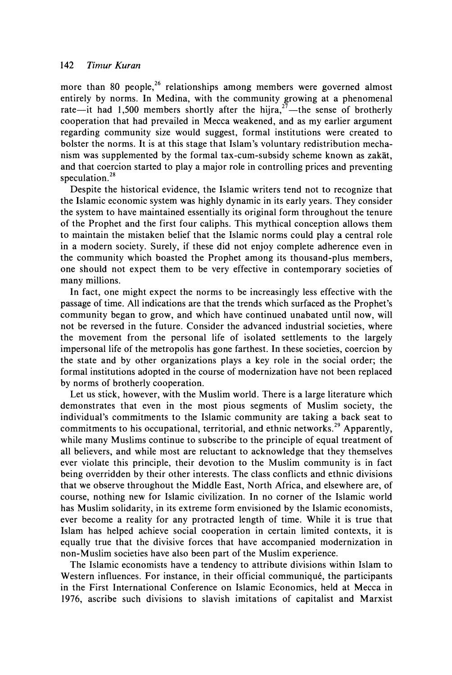more than 80 people,<sup>26</sup> relationships among members were governed almost **entirely by norms. In Medina, with the community growing at a phenomenal**  rate-it had 1,500 members shortly after the hijra,<sup> $27$ </sup>-the sense of brotherly **cooperation that had prevailed in Mecca weakened, and as my earlier argument regarding community size would suggest, formal institutions were created to bolster the norms. It is at this stage that Islam's voluntary redistribution mechanism was supplemented by the formal tax-cum-subsidy scheme known as zakat, and that coercion started to play a major role in controlling prices and preventing speculation.28** 

**Despite the historical evidence, the Islamic writers tend not to recognize that the Islamic economic system was highly dynamic in its early years. They consider the system to have maintained essentially its original form throughout the tenure of the Prophet and the first four caliphs. This mythical conception allows them to maintain the mistaken belief that the Islamic norms could play a central role in a modern society. Surely, if these did not enjoy complete adherence even in the community which boasted the Prophet among its thousand-plus members, one should not expect them to be very effective in contemporary societies of many millions.** 

**In fact, one might expect the norms to be increasingly less effective with the passage of time. All indications are that the trends which surfaced as the Prophet's community began to grow, and which have continued unabated until now, will not be reversed in the future. Consider the advanced industrial societies, where the movement from the personal life of isolated settlements to the largely impersonal life of the metropolis has gone farthest. In these societies, coercion by the state and by other organizations plays a key role in the social order; the formal institutions adopted in the course of modernization have not been replaced by norms of brotherly cooperation.** 

**Let us stick, however, with the Muslim world. There is a large literature which demonstrates that even in the most pious segments of Muslim society, the individual's commitments to the Islamic community are taking a back seat to**  commitments to his occupational, territorial, and ethnic networks.<sup>29</sup> Apparently, **while many Muslims continue to subscribe to the principle of equal treatment of all believers, and while most are reluctant to acknowledge that they themselves ever violate this principle, their devotion to the Muslim community is in fact being overridden by their other interests. The class conflicts and ethnic divisions that we observe throughout the Middle East, North Africa, and elsewhere are, of course, nothing new for Islamic civilization. In no corner of the Islamic world has Muslim solidarity, in its extreme form envisioned by the Islamic economists, ever become a reality for any protracted length of time. While it is true that Islam has helped achieve social cooperation in certain limited contexts, it is equally true that the divisive forces that have accompanied modernization in non-Muslim societies have also been part of the Muslim experience.** 

**The Islamic economists have a tendency to attribute divisions within Islam to Western influences. For instance, in their official communique, the participants in the First International Conference on Islamic Economics, held at Mecca in 1976, ascribe such divisions to slavish imitations of capitalist and Marxist**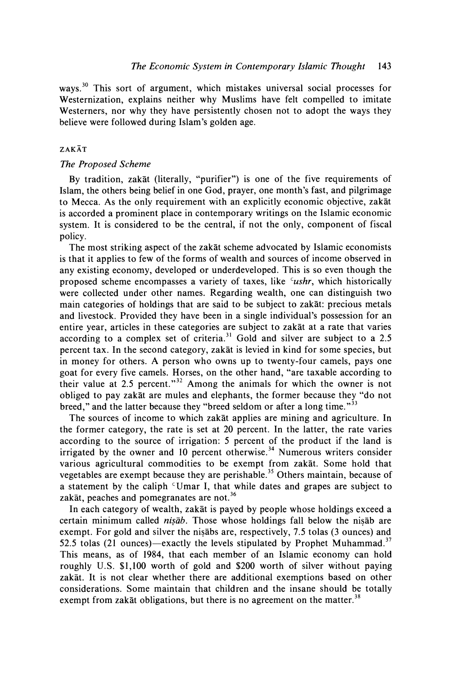**ways.30 This sort of argument, which mistakes universal social processes for Westernization, explains neither why Muslims have felt compelled to imitate Westerners, nor why they have persistently chosen not to adopt the ways they believe were followed during Islam's golden age.** 

# **ZAKAT**

## **The Proposed Scheme**

**By tradition, zakat (literally, "purifier") is one of the five requirements of Islam, the others being belief in one God, prayer, one month's fast, and pilgrimage to Mecca. As the only requirement with an explicitly economic objective, zakat is accorded a prominent place in contemporary writings on the Islamic economic system. It is considered to be the central, if not the only, component of fiscal policy.** 

**The most striking aspect of the zakat scheme advocated by Islamic economists is that it applies to few of the forms of wealth and sources of income observed in any existing economy, developed or underdeveloped. This is so even though the proposed scheme encompasses a variety of taxes, like 'ushr, which historically were collected under other names. Regarding wealth, one can distinguish two main categories of holdings that are said to be subject to zakat: precious metals and livestock. Provided they have been in a single individual's possession for an entire year, articles in these categories are subject to zakat at a rate that varies according to a complex set of criteria.31 Gold and silver are subject to a 2.5 percent tax. In the second category, zakat is levied in kind for some species, but in money for others. A person who owns up to twenty-four camels, pays one goat for every five camels. Horses, on the other hand, "are taxable according to their value at 2.5 percent."32 Among the animals for which the owner is not obliged to pay zakat are mules and elephants, the former because they "do not breed," and the latter because they "breed seldom or after a long time."33** 

**The sources of income to which zakat applies are mining and agriculture. In the former category, the rate is set at 20 percent. In the latter, the rate varies according to the source of irrigation: 5 percent of the product if the land is irrigated by the owner and 10 percent otherwise.34 Numerous writers consider various agricultural commodities to be exempt from zakat. Some hold that**  vegetables are exempt because they are perishable.<sup>35</sup> Others maintain, because of **a statement by the caliph 'Umar I, that while dates and grapes are subject to zakat, peaches and pomegranates are not.36** 

**In each category of wealth, zakat is payed by people whose holdings exceed a certain minimum called nisab. Those whose holdings fall below the nisab are exempt. For gold and silver the nisabs are, respectively, 7.5 tolas (3 ounces) and**  52.5 tolas (21 ounces)—exactly the levels stipulated by Prophet Muhammad.<sup>37</sup> **This means, as of 1984, that each member of an Islamic economy can hold roughly U.S. \$1,100 worth of gold and \$200 worth of silver without paying zakat. It is not clear whether there are additional exemptions based on other considerations. Some maintain that children and the insane should be totally**  exempt from zakat obligations, but there is no agreement on the matter.<sup>38</sup>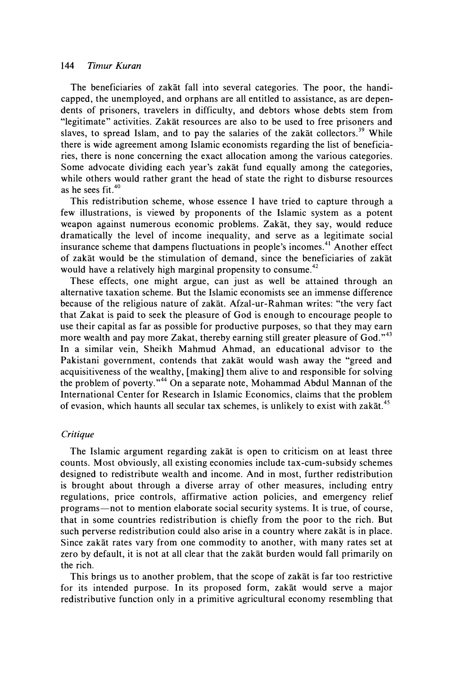**The beneficiaries of zakat fall into several categories. The poor, the handicapped, the unemployed, and orphans are all entitled to assistance, as are dependents of prisoners, travelers in difficulty, and debtors whose debts stem from "legitimate" activities. Zakat resources are also to be used to free prisoners and**  slaves, to spread Islam, and to pay the salaries of the zakat collectors.<sup>39</sup> While **there is wide agreement among Islamic economists regarding the list of beneficiaries, there is none concerning the exact allocation among the various categories. Some advocate dividing each year's zakat fund equally among the categories, while others would rather grant the head of state the right to disburse resources as he sees fit.40** 

**This redistribution scheme, whose essence I have tried to capture through a few illustrations, is viewed by proponents of the Islamic system as a potent weapon against numerous economic problems. Zakat, they say, would reduce dramatically the level of income inequality, and serve as a legitimate social insurance scheme that dampens fluctuations in people's incomes.41 Another effect of zakat would be the stimulation of demand, since the beneficiaries of zakat would have a relatively high marginal propensity to consume.42** 

**These effects, one might argue, can just as well be attained through an alternative taxation scheme. But the Islamic economists see an immense difference because of the religious nature of zakat. Afzal-ur-Rahman writes: "the very fact that Zakat is paid to seek the pleasure of God is enough to encourage people to use their capital as far as possible for productive purposes, so that they may earn more wealth and pay more Zakat, thereby earning still greater pleasure of God."43 In a similar vein, Sheikh Mahmud Ahmad, an educational advisor to the**  Pakistani government, contends that zakat would wash away the "greed and **acquisitiveness of the wealthy, [making] them alive to and responsible for solving the problem of poverty."44 On a separate note, Mohammad Abdul Mannan of the International Center for Research in Islamic Economics, claims that the problem**  of evasion, which haunts all secular tax schemes, is unlikely to exist with zakat.<sup>45</sup>

#### **Critique**

**The Islamic argument regarding zakat is open to criticism on at least three counts. Most obviously, all existing economies include tax-cum-subsidy schemes designed to redistribute wealth and income. And in most, further redistribution is brought about through a diverse array of other measures, including entry regulations, price controls, affirmative action policies, and emergency relief programs-not to mention elaborate social security systems. It is true, of course, that in some countries redistribution is chiefly from the poor to the rich. But such perverse redistribution could also arise in a country where zakat is in place. Since zakat rates vary from one commodity to another, with many rates set at zero by default, it is not at all clear that the zakat burden would fall primarily on the rich.** 

**This brings us to another problem, that the scope of zakat is far too restrictive for its intended purpose. In its proposed form, zakat would serve a major redistributive function only in a primitive agricultural economy resembling that**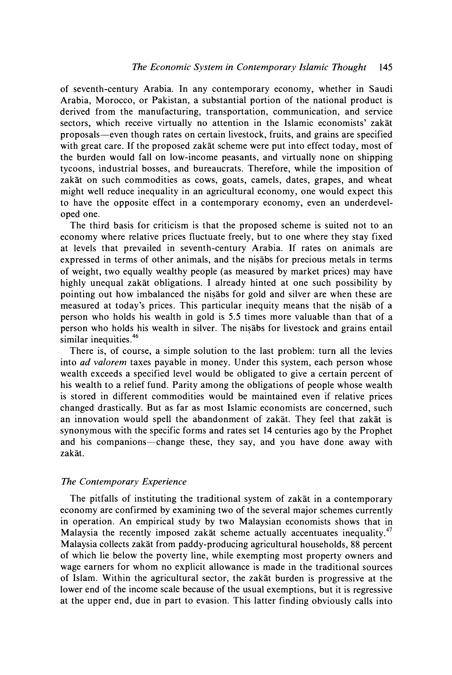**of seventh-century Arabia. In any contemporary economy, whether in Saudi Arabia, Morocco, or Pakistan, a substantial portion of the national product is derived from the manufacturing, transportation, communication, and service sectors, which receive virtually no attention in the Islamic economists' zakat proposals-even though rates on certain livestock, fruits, and grains are specified with great care. If the proposed zakat scheme were put into effect today, most of the burden would fall on low-income peasants, and virtually none on shipping tycoons, industrial bosses, and bureaucrats. Therefore, while the imposition of zakat on such commodities as cows, goats, camels, dates, grapes, and wheat might well reduce inequality in an agricultural economy, one would expect this to have the opposite effect in a contemporary economy, even an underdeveloped one.** 

**The third basis for criticism is that the proposed scheme is suited not to an economy where relative prices fluctuate freely, but to one where they stay fixed at levels that prevailed in seventh-century Arabia. If rates on animals are expressed in terms of other animals, and the nisabs for precious metals in terms of weight, two equally wealthy people (as measured by market prices) may have highly unequal zakat obligations. I already hinted at one such possibility by pointing out how imbalanced the nisabs for gold and silver are when these are measured at today's prices. This particular inequity means that the nisab of a person who holds his wealth in gold is 5.5 times more valuable than that of a person who holds his wealth in silver. The nisabs for livestock and grains entail <sup>46</sup>similar inequities.4** 

**There is, of course, a simple solution to the last problem: turn all the levies into ad valorem taxes payable in money. Under this system, each person whose wealth exceeds a specified level would be obligated to give a certain percent of his wealth to a relief fund. Parity among the obligations of people whose wealth is stored in different commodities would be maintained even if relative prices changed drastically. But as far as most Islamic economists are concerned, such an innovation would spell the abandonment of zakat. They feel that zakat is synonymous with the specific forms and rates set 14 centuries ago by the Prophet and his companions-change these, they say, and you have done away with zakat.** 

# **The Contemporary Experience**

**The pitfalls of instituting the traditional system of zakat in a contemporary economy are confirmed by examining two of the several major schemes currently in operation. An empirical study by two Malaysian economists shows that in Malaysia the recently imposed zakat scheme actually accentuates inequality.47 Malaysia collects zakat from paddy-producing agricultural households, 88 percent of which lie below the poverty line, while exempting most property owners and wage earners for whom no explicit allowance is made in the traditional sources of Islam. Within the agricultural sector, the zakat burden is progressive at the lower end of the income scale because of the usual exemptions, but it is regressive at the upper end, due in part to evasion. This latter finding obviously calls into**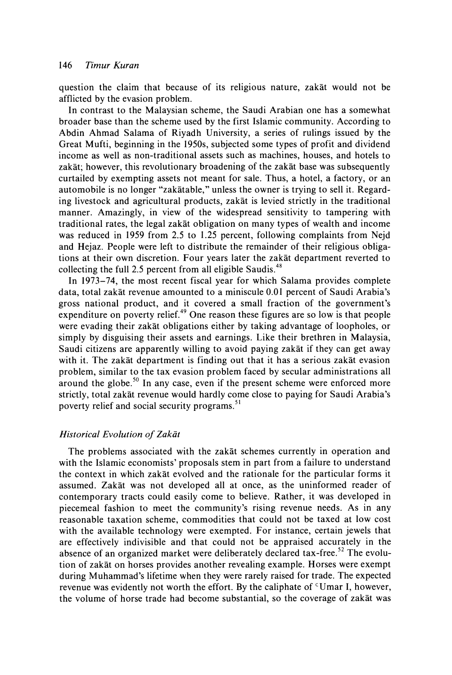**question the claim that because of its religious nature, zakat would not be afflicted by the evasion problem.** 

**In contrast to the Malaysian scheme, the Saudi Arabian one has a somewhat broader base than the scheme used by the first Islamic community. According to Abdin Ahmad Salama of Riyadh University, a series of rulings issued by the Great Mufti, beginning in the 1950s, subjected some types of profit and dividend income as well as non-traditional assets such as machines, houses, and hotels to zakat; however, this revolutionary broadening of the zakat base was subsequently curtailed by exempting assets not meant for sale. Thus, a hotel, a factory, or an automobile is no longer "zakatable," unless the owner is trying to sell it. Regarding livestock and agricultural products, zakat is levied strictly in the traditional manner. Amazingly, in view of the widespread sensitivity to tampering with traditional rates, the legal zakat obligation on many types of wealth and income was reduced in 1959 from 2.5 to 1.25 percent, following complaints from Nejd and Hejaz. People were left to distribute the remainder of their religious obligations at their own discretion. Four years later the zakat department reverted to collecting the full 2.5 percent from all eligible Saudis.48** 

**In 1973-74, the most recent fiscal year for which Salama provides complete data, total zakat revenue amounted to a miniscule 0.01 percent of Saudi Arabia's gross national product, and it covered a small fraction of the government's**  expenditure on poverty relief.<sup>49</sup> One reason these figures are so low is that people **were evading their zakat obligations either by taking advantage of loopholes, or simply by disguising their assets and earnings. Like their brethren in Malaysia, Saudi citizens are apparently willing to avoid paying zakat if they can get away with it. The zakat department is finding out that it has a serious zakat evasion problem, similar to the tax evasion problem faced by secular administrations all around the globe.50 In any case, even if the present scheme were enforced more strictly, total zakat revenue would hardly come close to paying for Saudi Arabia's poverty relief and social security programs.5** 

#### **Historical Evolution of Zakat**

**The problems associated with the zakat schemes currently in operation and with the Islamic economists' proposals stem in part from a failure to understand the context in which zakat evolved and the rationale for the particular forms it assumed. Zakat was not developed all at once, as the uninformed reader of contemporary tracts could easily come to believe. Rather, it was developed in piecemeal fashion to meet the community's rising revenue needs. As in any reasonable taxation scheme, commodities that could not be taxed at low cost with the available technology were exempted. For instance, certain jewels that are effectively indivisible and that could not be appraised accurately in the**  absence of an organized market were deliberately declared tax-free.<sup>52</sup> The evolu**tion of zakat on horses provides another revealing example. Horses were exempt during Muhammad's lifetime when they were rarely raised for trade. The expected revenue was evidently not worth the effort. By the caliphate of 'Umar I, however, the volume of horse trade had become substantial, so the coverage of zakat was**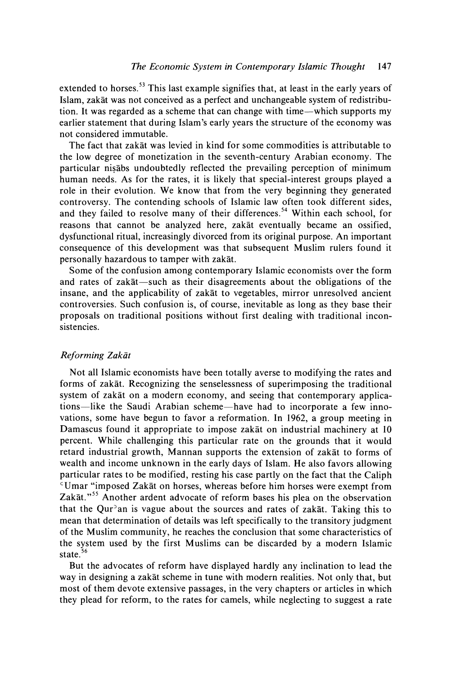extended to horses.<sup>53</sup> This last example signifies that, at least in the early years of **Islam, zakat was not conceived as a perfect and unchangeable system of redistribution. It was regarded as a scheme that can change with time-which supports my earlier statement that during Islam's early years the structure of the economy was not considered immutable.** 

**The fact that zakat was levied in kind for some commodities is attributable to the low degree of monetization in the seventh-century Arabian economy. The particular nisabs undoubtedly reflected the prevailing perception of minimum human needs. As for the rates, it is likely that special-interest groups played a role in their evolution. We know that from the very beginning they generated controversy. The contending schools of Islamic law often took different sides,**  and they failed to resolve many of their differences.<sup>34</sup> Within each school, for reasons that cannot be analyzed here, zakat eventually became an ossified, **dysfunctional ritual, increasingly divorced from its original purpose. An important consequence of this development was that subsequent Muslim rulers found it personally hazardous to tamper with zakat.** 

**Some of the confusion among contemporary Islamic economists over the form and rates of zakat-such as their disagreements about the obligations of the insane, and the applicability of zakat to vegetables, mirror unresolved ancient controversies. Such confusion is, of course, inevitable as long as they base their proposals on traditional positions without first dealing with traditional inconsistencies.** 

#### **Reforming Zakat**

**Not all Islamic economists have been totally averse to modifying the rates and forms of zakat. Recognizing the senselessness of superimposing the traditional system of zakat on a modern economy, and seeing that contemporary applications-like the Saudi Arabian scheme-have had to incorporate a few innovations, some have begun to favor a reformation. In 1962, a group meeting in Damascus found it appropriate to impose zakat on industrial machinery at 10 percent. While challenging this particular rate on the grounds that it would**  retard industrial growth, Mannan supports the extension of zakat to forms of **wealth and income unknown in the early days of Islam. He also favors allowing particular rates to be modified, resting his case partly on the fact that the Caliph 'Umar "imposed Zakat on horses, whereas before him horses were exempt from**  Zakāt."<sup>55</sup> Another ardent advocate of reform bases his plea on the observation **that the Qur'an is vague about the sources and rates of zakat. Taking this to mean that determination of details was left specifically to the transitory judgment of the Muslim community, he reaches the conclusion that some characteristics of the system used by the first Muslims can be discarded by a modern Islamic state.56** 

**But the advocates of reform have displayed hardly any inclination to lead the way in designing a zakat scheme in tune with modern realities. Not only that, but most of them devote extensive passages, in the very chapters or articles in which they plead for reform, to the rates for camels, while neglecting to suggest a rate**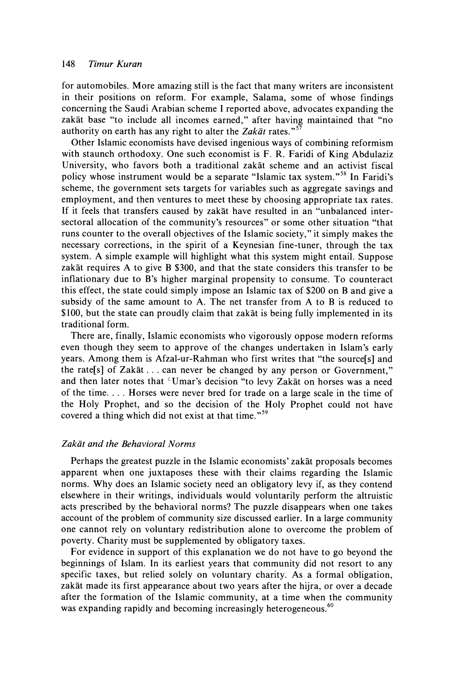**for automobiles. More amazing still is the fact that many writers are inconsistent in their positions on reform. For example, Salama, some of whose findings concerning the Saudi Arabian scheme I reported above, advocates expanding the zakat base "to include all incomes earned," after having maintained that "no**  authority on earth has any right to alter the Zakat rates."<sup>57</sup>

**Other Islamic economists have devised ingenious ways of combining reformism with staunch orthodoxy. One such economist is F. R. Faridi of King Abdulaziz University, who favors both a traditional zakat scheme and an activist fiscal policy whose instrument would be a separate "Islamic tax system."58 In Faridi's scheme, the government sets targets for variables such as aggregate savings and employment, and then ventures to meet these by choosing appropriate tax rates. If it feels that transfers caused by zakat have resulted in an "unbalanced intersectoral allocation of the community's resources" or some other situation "that runs counter to the overall objectives of the Islamic society," it simply makes the necessary corrections, in the spirit of a Keynesian fine-tuner, through the tax system. A simple example will highlight what this system might entail. Suppose zakat requires A to give B \$300, and that the state considers this transfer to be inflationary due to B's higher marginal propensity to consume. To counteract this effect, the state could simply impose an Islamic tax of \$200 on B and give a subsidy of the same amount to A. The net transfer from A to B is reduced to \$100, but the state can proudly claim that zakat is being fully implemented in its traditional form.** 

**There are, finally, Islamic economists who vigorously oppose modern reforms even though they seem to approve of the changes undertaken in Islam's early years. Among them is Afzal-ur-Rahman who first writes that "the source[s] and the rate[s] of Zakat.. . can never be changed by any person or Government," and then later notes that 'Umar's decision "to levy Zakat on horses was a need of the time.... Horses were never bred for trade on a large scale in the time of the Holy Prophet, and so the decision of the Holy Prophet could not have covered a thing which did not exist at that time."59** 

#### **Zakat and the Behavioral Norms**

Perhaps the greatest puzzle in the Islamic economists' zakat proposals becomes **apparent when one juxtaposes these with their claims regarding the Islamic norms. Why does an Islamic society need an obligatory levy if, as they contend elsewhere in their writings, individuals would voluntarily perform the altruistic acts prescribed by the behavioral norms? The puzzle disappears when one takes account of the problem of community size discussed earlier. In a large community one cannot rely on voluntary redistribution alone to overcome the problem of poverty. Charity must be supplemented by obligatory taxes.** 

**For evidence in support of this explanation we do not have to go beyond the beginnings of Islam. In its earliest years that community did not resort to any specific taxes, but relied solely on voluntary charity. As a formal obligation, zakat made its first appearance about two years after the hijra, or over a decade after the formation of the Islamic community, at a time when the community**  was expanding rapidly and becoming increasingly heterogeneous.<sup>60</sup>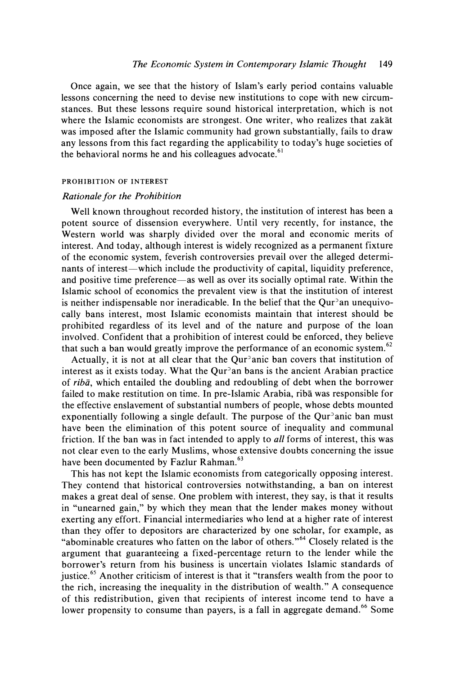**Once again, we see that the history of Islam's early period contains valuable lessons concerning the need to devise new institutions to cope with new circumstances. But these lessons require sound historical interpretation, which is not where the Islamic economists are strongest. One writer, who realizes that zakat was imposed after the Islamic community had grown substantially, fails to draw any lessons from this fact regarding the applicability to today's huge societies of the behavioral norms he and his colleagues advocate.61** 

#### **PROHIBITION OF INTEREST**

# **Rationale for the Prohibition**

**Well known throughout recorded history, the institution of interest has been a potent source of dissension everywhere. Until very recently, for instance, the Western world was sharply divided over the moral and economic merits of interest. And today, although interest is widely recognized as a permanent fixture of the economic system, feverish controversies prevail over the alleged determi**nants of interest—which include the productivity of capital, liquidity preference, and positive time preference—as well as over its socially optimal rate. Within the **Islamic school of economics the prevalent view is that the institution of interest**  is neither indispensable nor ineradicable. In the belief that the Qur<sup>3</sup>an unequivo**cally bans interest, most Islamic economists maintain that interest should be prohibited regardless of its level and of the nature and purpose of the loan involved. Confident that a prohibition of interest could be enforced, they believe that such a ban would greatly improve the performance of an economic system.62** 

**Actually, it is not at all clear that the Qur'anic ban covers that institution of interest as it exists today. What the Qur'an bans is the ancient Arabian practice**  of riba, which entailed the doubling and redoubling of debt when the borrower **failed to make restitution on time. In pre-Islamic Arabia, riba was responsible for the effective enslavement of substantial numbers of people, whose debts mounted exponentially following a single default. The purpose of the Qur'anic ban must have been the elimination of this potent source of inequality and communal friction. If the ban was in fact intended to apply to all forms of interest, this was not clear even to the early Muslims, whose extensive doubts concerning the issue have been documented by Fazlur Rahman.63** 

**This has not kept the Islamic economists from categorically opposing interest. They contend that historical controversies notwithstanding, a ban on interest makes a great deal of sense. One problem with interest, they say, is that it results in "unearned gain," by which they mean that the lender makes money without exerting any effort. Financial intermediaries who lend at a higher rate of interest than they offer to depositors are characterized by one scholar, for example, as "abominable creatures who fatten on the labor of others."64 Closely related is the argument that guaranteeing a fixed-percentage return to the lender while the borrower's return from his business is uncertain violates Islamic standards of justice.65 Another criticism of interest is that it "transfers wealth from the poor to the rich, increasing the inequality in the distribution of wealth." A consequence of this redistribution, given that recipients of interest income tend to have a**  lower propensity to consume than payers, is a fall in aggregate demand.<sup>66</sup> Some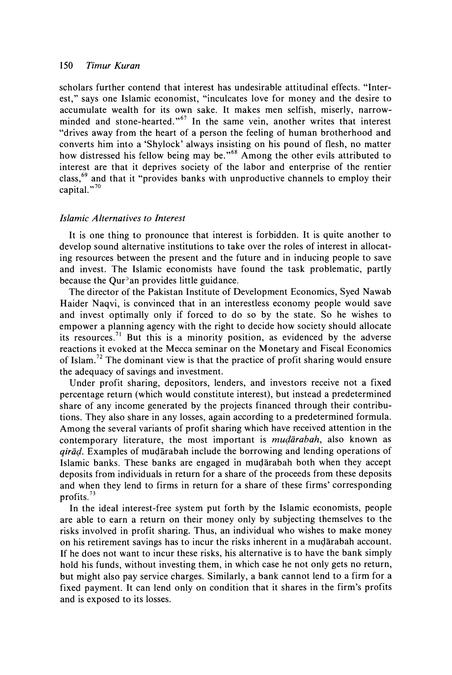**scholars further contend that interest has undesirable attitudinal effects. "Interest," says one Islamic economist, "inculcates love for money and the desire to accumulate wealth for its own sake. It makes men selfish, miserly, narrowminded and stone-hearted."67 In the same vein, another writes that interest "drives away from the heart of a person the feeling of human brotherhood and converts him into a 'Shylock' always insisting on his pound of flesh, no matter how distressed his fellow being may be."68 Among the other evils attributed to interest are that it deprives society of the labor and enterprise of the rentier class,69 and that it "provides banks with unproductive channels to employ their capital."70** 

# **Islamic Alternatives to Interest**

**It is one thing to pronounce that interest is forbidden. It is quite another to develop sound alternative institutions to take over the roles of interest in allocating resources between the present and the future and in inducing people to save and invest. The Islamic economists have found the task problematic, partly because the Qur'an provides little guidance.** 

**The director of the Pakistan Institute of Development Economics, Syed Nawab Haider Naqvi, is convinced that in an interestless economy people would save and invest optimally only if forced to do so by the state. So he wishes to empower a planning agency with the right to decide how society should allocate its resources.71 But this is a minority position, as evidenced by the adverse reactions it evoked at the Mecca seminar on the Monetary and Fiscal Economics of Islam.72 The dominant view is that the practice of profit sharing would ensure the adequacy of savings and investment.** 

**Under profit sharing, depositors, lenders, and investors receive not a fixed percentage return (which would constitute interest), but instead a predetermined share of any income generated by the projects financed through their contributions. They also share in any losses, again according to a predetermined formula. Among the several variants of profit sharing which have received attention in the contemporary literature, the most important is mudarabah, also known as qirad. Examples of mudarabah include the borrowing and lending operations of Islamic banks. These banks are engaged in mudarabah both when they accept deposits from individuals in return for a share of the proceeds from these deposits and when they lend to firms in return for a share of these firms' corresponding profits.73** 

**In the ideal interest-free system put forth by the Islamic economists, people are able to earn a return on their money only by subjecting themselves to the risks involved in profit sharing. Thus, an individual who wishes to make money on his retirement savings has to incur the risks inherent in a mudarabah account. If he does not want to incur these risks, his alternative is to have the bank simply hold his funds, without investing them, in which case he not only gets no return, but might also pay service charges. Similarly, a bank cannot lend to a firm for a fixed payment. It can lend only on condition that it shares in the firm's profits and is exposed to its losses.**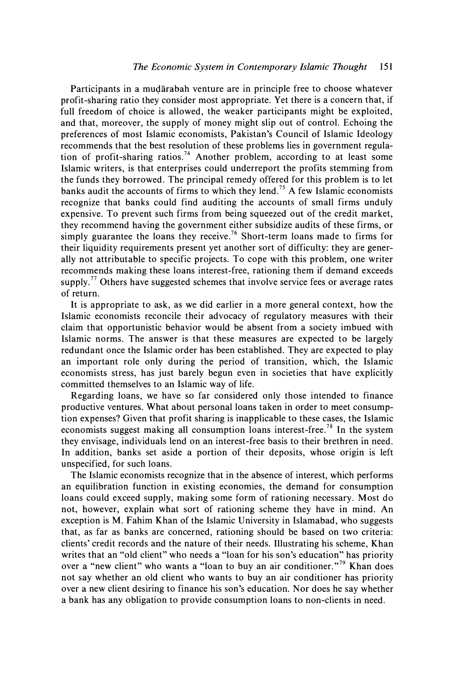Participants in a mudārabah venture are in principle free to choose whatever **profit-sharing ratio they consider most appropriate. Yet there is a concern that, if full freedom of choice is allowed, the weaker participants might be exploited, and that, moreover, the supply of money might slip out of control. Echoing the preferences of most Islamic economists, Pakistan's Council of Islamic Ideology recommends that the best resolution of these problems lies in government regulation of profit-sharing ratios.74 Another problem, according to at least some Islamic writers, is that enterprises could underreport the profits stemming from the funds they borrowed. The principal remedy offered for this problem is to let banks audit the accounts of firms to which they lend.75 A few Islamic economists recognize that banks could find auditing the accounts of small firms unduly expensive. To prevent such firms from being squeezed out of the credit market, they recommend having the government either subsidize audits of these firms, or**  simply guarantee the loans they receive.<sup>76</sup> Short-term loans made to firms for **their liquidity requirements present yet another sort of difficulty: they are generally not attributable to specific projects. To cope with this problem, one writer recommends making these loans interest-free, rationing them if demand exceeds supply.77 Others have suggested schemes that involve service fees or average rates of return.** 

**It is appropriate to ask, as we did earlier in a more general context, how the Islamic economists reconcile their advocacy of regulatory measures with their claim that opportunistic behavior would be absent from a society imbued with Islamic norms. The answer is that these measures are expected to be largely redundant once the Islamic order has been established. They are expected to play an important role only during the period of transition, which, the Islamic economists stress, has just barely begun even in societies that have explicitly committed themselves to an Islamic way of life.** 

**Regarding loans, we have so far considered only those intended to finance productive ventures. What about personal loans taken in order to meet consumption expenses? Given that profit sharing is inapplicable to these cases, the Islamic economists suggest making all consumption loans interest-free.78 In the system they envisage, individuals lend on an interest-free basis to their brethren in need. In addition, banks set aside a portion of their deposits, whose origin is left unspecified, for such loans.** 

**The Islamic economists recognize that in the absence of interest, which performs an equilibration function in existing economies, the demand for consumption loans could exceed supply, making some form of rationing necessary. Most do not, however, explain what sort of rationing scheme they have in mind. An exception is M. Fahim Khan of the Islamic University in Islamabad, who suggests that, as far as banks are concerned, rationing should be based on two criteria: clients' credit records and the nature of their needs. Illustrating his scheme, Khan writes that an "old client" who needs a "loan for his son's education" has priority over a "new client" who wants a "loan to buy an air conditioner."79 Khan does not say whether an old client who wants to buy an air conditioner has priority over a new client desiring to finance his son's education. Nor does he say whether a bank has any obligation to provide consumption loans to non-clients in need.**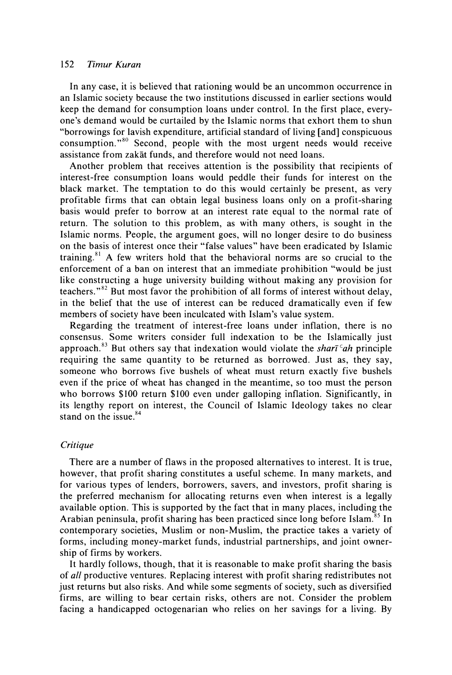**In any case, it is believed that rationing would be an uncommon occurrence in an Islamic society because the two institutions discussed in earlier sections would keep the demand for consumption loans under control. In the first place, everyone's demand would be curtailed by the Islamic norms that exhort them to shun "borrowings for lavish expenditure, artificial standard of living [and] conspicuous consumption."80 Second, people with the most urgent needs would receive assistance from zakat funds, and therefore would not need loans.** 

**Another problem that receives attention is the possibility that recipients of interest-free consumption loans would peddle their funds for interest on the black market. The temptation to do this would certainly be present, as very profitable firms that can obtain legal business loans only on a profit-sharing basis would prefer to borrow at an interest rate equal to the normal rate of return. The solution to this problem, as with many others, is sought in the Islamic norms. People, the argument goes, will no longer desire to do business on the basis of interest once their "false values" have been eradicated by Islamic training.81 A few writers hold that the behavioral norms are so crucial to the enforcement of a ban on interest that an immediate prohibition "would be just like constructing a huge university building without making any provision for teachers."82 But most favor the prohibition of all forms of interest without delay, in the belief that the use of interest can be reduced dramatically even if few members of society have been inculcated with Islam's value system.** 

**Regarding the treatment of interest-free loans under inflation, there is no consensus. Some writers consider full indexation to be the Islamically just**  approach.<sup>83</sup> But others say that indexation would violate the *shart* ah principle **requiring the same quantity to be returned as borrowed. Just as, they say, someone who borrows five bushels of wheat must return exactly five bushels even if the price of wheat has changed in the meantime, so too must the person who borrows \$100 return \$100 even under galloping inflation. Significantly, in its lengthy report on interest, the Council of Islamic Ideology takes no clear stand on the issue.84** 

#### **Critique**

**There are a number of flaws in the proposed alternatives to interest. It is true, however, that profit sharing constitutes a useful scheme. In many markets, and for various types of lenders, borrowers, savers, and investors, profit sharing is the preferred mechanism for allocating returns even when interest is a legally available option. This is supported by the fact that in many places, including the**  Arabian peninsula, profit sharing has been practiced since long before Islam.<sup>85</sup> In **contemporary societies, Muslim or non-Muslim, the practice takes a variety of forms, including money-market funds, industrial partnerships, and joint ownership of firms by workers.** 

**It hardly follows, though, that it is reasonable to make profit sharing the basis of all productive ventures. Replacing interest with profit sharing redistributes not just returns but also risks. And while some segments of society, such as diversified firms, are willing to bear certain risks, others are not. Consider the problem facing a handicapped octogenarian who relies on her savings for a living. By**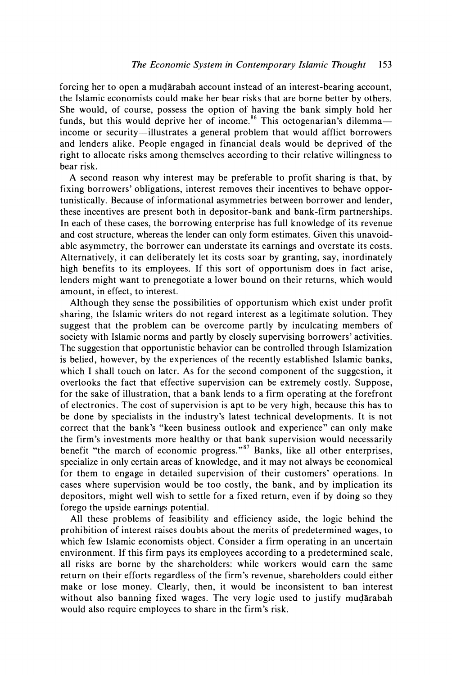**forcing her to open a mudarabah account instead of an interest-bearing account, the Islamic economists could make her bear risks that are borne better by others. She would, of course, possess the option of having the bank simply hold her**  funds, but this would deprive her of income.<sup>86</sup> This octogenarian's dilemmaincome or security—illustrates a general problem that would afflict borrowers **and lenders alike. People engaged in financial deals would be deprived of the right to allocate risks among themselves according to their relative willingness to bear risk.** 

**A second reason why interest may be preferable to profit sharing is that, by fixing borrowers' obligations, interest removes their incentives to behave opportunistically. Because of informational asymmetries between borrower and lender, these incentives are present both in depositor-bank and bank-firm partnerships. In each of these cases, the borrowing enterprise has full knowledge of its revenue and cost structure, whereas the lender can only form estimates. Given this unavoidable asymmetry, the borrower can understate its earnings and overstate its costs. Alternatively, it can deliberately let its costs soar by granting, say, inordinately high benefits to its employees. If this sort of opportunism does in fact arise, lenders might want to prenegotiate a lower bound on their returns, which would amount, in effect, to interest.** 

**Although they sense the possibilities of opportunism which exist under profit sharing, the Islamic writers do not regard interest as a legitimate solution. They suggest that the problem can be overcome partly by inculcating members of society with Islamic norms and partly by closely supervising borrowers' activities. The suggestion that opportunistic behavior can be controlled through Islamization is belied, however, by the experiences of the recently established Islamic banks, which I shall touch on later. As for the second component of the suggestion, it overlooks the fact that effective supervision can be extremely costly. Suppose, for the sake of illustration, that a bank lends to a firm operating at the forefront of electronics. The cost of supervision is apt to be very high, because this has to be done by specialists in the industry's latest technical developments. It is not correct that the bank's "keen business outlook and experience" can only make the firm's investments more healthy or that bank supervision would necessarily benefit "the march of economic progress."87 Banks, like all other enterprises, specialize in only certain areas of knowledge, and it may not always be economical for them to engage in detailed supervision of their customers' operations. In cases where supervision would be too costly, the bank, and by implication its depositors, might well wish to settle for a fixed return, even if by doing so they forego the upside earnings potential.** 

**All these problems of feasibility and efficiency aside, the logic behind the prohibition of interest raises doubts about the merits of predetermined wages, to which few Islamic economists object. Consider a firm operating in an uncertain environment. If this firm pays its employees according to a predetermined scale, all risks are borne by the shareholders: while workers would earn the same return on their efforts regardless of the firm's revenue, shareholders could either make or lose money. Clearly, then, it would be inconsistent to ban interest without also banning fixed wages. The very logic used to justify mudarabah would also require employees to share in the firm's risk.**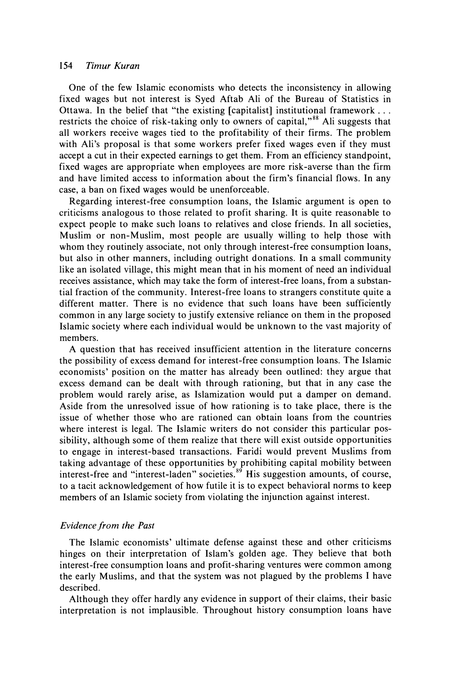**One of the few Islamic economists who detects the inconsistency in allowing fixed wages but not interest is Syed Aftab Ali of the Bureau of Statistics in Ottawa. In the belief that "the existing [capitalist] institutional framework...**  restricts the choice of risk-taking only to owners of capital,"<sup>88</sup> Ali suggests that **all workers receive wages tied to the profitability of their firms. The problem with Ali's proposal is that some workers prefer fixed wages even if they must accept a cut in their expected earnings to get them. From an efficiency standpoint, fixed wages are appropriate when employees are more risk-averse than the firm and have limited access to information about the firm's financial flows. In any case, a ban on fixed wages would be unenforceable.** 

**Regarding interest-free consumption loans, the Islamic argument is open to criticisms analogous to those related to profit sharing. It is quite reasonable to expect people to make such loans to relatives and close friends. In all societies, Muslim or non-Muslim, most people are usually willing to help those with whom they routinely associate, not only through interest-free consumption loans, but also in other manners, including outright donations. In a small community like an isolated village, this might mean that in his moment of need an individual receives assistance, which may take the form of interest-free loans, from a substantial fraction of the community. Interest-free loans to strangers constitute quite a different matter. There is no evidence that such loans have been sufficiently common in any large society to justify extensive reliance on them in the proposed Islamic society where each individual would be unknown to the vast majority of members.** 

**A question that has received insufficient attention in the literature concerns the possibility of excess demand for interest-free consumption loans. The Islamic economists' position on the matter has already been outlined: they argue that excess demand can be dealt with through rationing, but that in any case the problem would rarely arise, as Islamization would put a damper on demand. Aside from the unresolved issue of how rationing is to take place, there is the issue of whether those who are rationed can obtain loans from the countries where interest is legal. The Islamic writers do not consider this particular possibility, although some of them realize that there will exist outside opportunities to engage in interest-based transactions. Faridi would prevent Muslims from taking advantage of these opportunities by prohibiting capital mobility between**  interest-free and "interest-laden" societies.<sup>89</sup> His suggestion amounts, of course, **to a tacit acknowledgement of how futile it is to expect behavioral norms to keep members of an Islamic society from violating the injunction against interest.** 

# **Evidence from the Past**

**The Islamic economists' ultimate defense against these and other criticisms hinges on their interpretation of Islam's golden age. They believe that both interest-free consumption loans and profit-sharing ventures were common among the early Muslims, and that the system was not plagued by the problems I have described.** 

**Although they offer hardly any evidence in support of their claims, their basic interpretation is not implausible. Throughout history consumption loans have**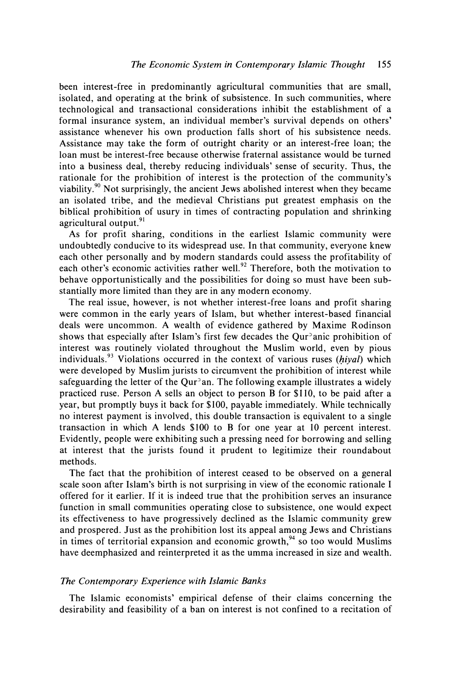**been interest-free in predominantly agricultural communities that are small, isolated, and operating at the brink of subsistence. In such communities, where technological and transactional considerations inhibit the establishment of a formal insurance system, an individual member's survival depends on others' assistance whenever his own production falls short of his subsistence needs. Assistance may take the form of outright charity or an interest-free loan; the loan must be interest-free because otherwise fraternal assistance would be turned into a business deal, thereby reducing individuals' sense of security. Thus, the rationale for the prohibition of interest is the protection of the community's viability.90 Not surprisingly, the ancient Jews abolished interest when they became an isolated tribe, and the medieval Christians put greatest emphasis on the biblical prohibition of usury in times of contracting population and shrinking agricultural output.9'** 

**As for profit sharing, conditions in the earliest Islamic community were undoubtedly conducive to its widespread use. In that community, everyone knew each other personally and by modern standards could assess the profitability of**  each other's economic activities rather well.<sup>92</sup> Therefore, both the motivation to **behave opportunistically and the possibilities for doing so must have been substantially more limited than they are in any modern economy.** 

**The real issue, however, is not whether interest-free loans and profit sharing were common in the early years of Islam, but whether interest-based financial deals were uncommon. A wealth of evidence gathered by Maxime Rodinson shows that especially after Islam's first few decades the Qur'anic prohibition of interest was routinely violated throughout the Muslim world, even by pious individuals.93 Violations occurred in the context of various ruses (hiyal) which were developed by Muslim jurists to circumvent the prohibition of interest while safeguarding the letter of the Qur'an. The following example illustrates a widely practiced ruse. Person A sells an object to person B for \$110, to be paid after a year, but promptly buys it back for \$100, payable immediately. While technically no interest payment is involved, this double transaction is equivalent to a single transaction in which A lends \$100 to B for one year at 10 percent interest. Evidently, people were exhibiting such a pressing need for borrowing and selling at interest that the jurists found it prudent to legitimize their roundabout methods.** 

**The fact that the prohibition of interest ceased to be observed on a general scale soon after Islam's birth is not surprising in view of the economic rationale I offered for it earlier. If it is indeed true that the prohibition serves an insurance function in small communities operating close to subsistence, one would expect its effectiveness to have progressively declined as the Islamic community grew and prospered. Just as the prohibition lost its appeal among Jews and Christians**  in times of territorial expansion and economic growth,<sup>94</sup> so too would Muslims **have deemphasized and reinterpreted it as the umma increased in size and wealth.** 

# **The Contemporary Experience with Islamic Banks**

**The Islamic economists' empirical defense of their claims concerning the desirability and feasibility of a ban on interest is not confined to a recitation of**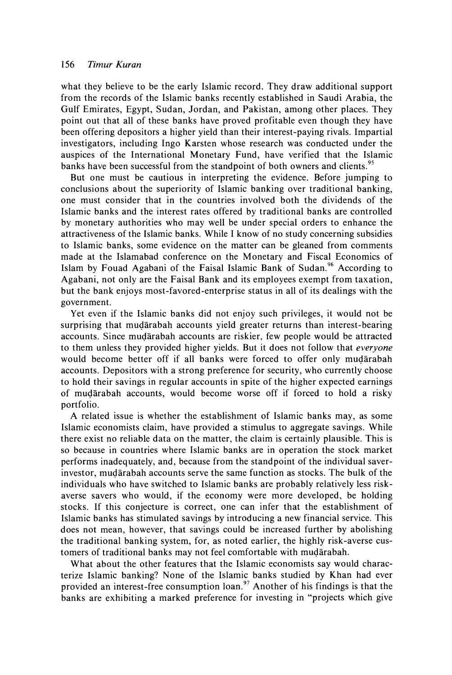**what they believe to be the early Islamic record. They draw additional support from the records of the Islamic banks recently established in Saudi Arabia, the Gulf Emirates, Egypt, Sudan, Jordan, and Pakistan, among other places. They point out that all of these banks have proved profitable even though they have been offering depositors a higher yield than their interest-paying rivals. Impartial investigators, including Ingo Karsten whose research was conducted under the auspices of the International Monetary Fund, have verified that the Islamic**  banks have been successful from the standpoint of both owners and clients.<sup>95</sup>

**But one must be cautious in interpreting the evidence. Before jumping to conclusions about the superiority of Islamic banking over traditional banking, one must consider that in the countries involved both the dividends of the Islamic banks and the interest rates offered by traditional banks are controlled by monetary authorities who may well be under special orders to enhance the attractiveness of the Islamic banks. While I know of no study concerning subsidies to Islamic banks, some evidence on the matter can be gleaned from comments made at the Islamabad conference on the Monetary and Fiscal Economics of**  Islam by Fouad Agabani of the Faisal Islamic Bank of Sudan.<sup>96</sup> According to **Agabani, not only are the Faisal Bank and its employees exempt from taxation, but the bank enjoys most-favored-enterprise status in all of its dealings with the government.** 

**Yet even if the Islamic banks did not enjoy such privileges, it would not be surprising that mudarabah accounts yield greater returns than interest-bearing accounts. Since mud arabah accounts are riskier, few people would be attracted to them unless they provided higher yields. But it does not follow that everyone would become better off if all banks were forced to offer only mudarabah accounts. Depositors with a strong preference for security, who currently choose to hold their savings in regular accounts in spite of the higher expected earnings of mudarabah accounts, would become worse off if forced to hold a risky portfolio.** 

**A related issue is whether the establishment of Islamic banks may, as some Islamic economists claim, have provided a stimulus to aggregate savings. While there exist no reliable data on the matter, the claim is certainly plausible. This is so because in countries where Islamic banks are in operation the stock market performs inadequately, and, because from the standpoint of the individual saverinvestor, mudarabah accounts serve the same function as stocks. The bulk of the individuals who have switched to Islamic banks are probably relatively less riskaverse savers who would, if the economy were more developed, be holding stocks. If this conjecture is correct, one can infer that the establishment of Islamic banks has stimulated savings by introducing a new financial service. This does not mean, however, that savings could be increased further by abolishing the traditional banking system, for, as noted earlier, the highly risk-averse customers of traditional banks may not feel comfortable with mudarabah.** 

**What about the other features that the Islamic economists say would characterize Islamic banking? None of the Islamic banks studied by Khan had ever provided an interest-free consumption loan.97 Another of his findings is that the banks are exhibiting a marked preference for investing in "projects which give**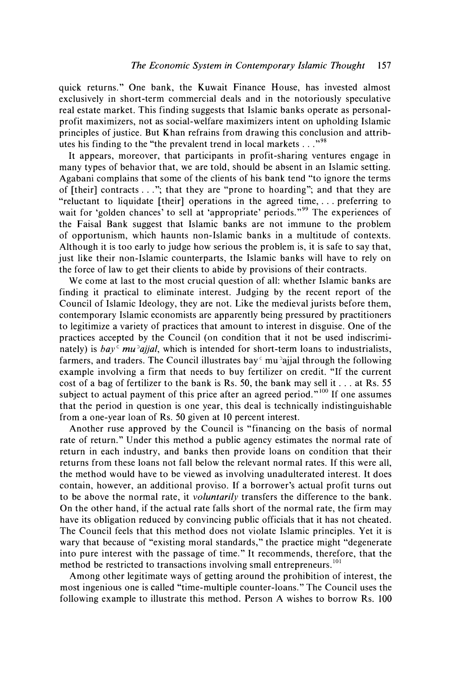**quick returns." One bank, the Kuwait Finance House, has invested almost exclusively in short-term commercial deals and in the notoriously speculative real estate market. This finding suggests that Islamic banks operate as personalprofit maximizers, not as social-welfare maximizers intent on upholding Islamic principles of justice. But Khan refrains from drawing this conclusion and attrib**utes his finding to the "the prevalent trend in local markets . . . "<sup>98</sup>

**It appears, moreover, that participants in profit-sharing ventures engage in many types of behavior that, we are told, should be absent in an Islamic setting. Agabani complains that some of the clients of his bank tend "to ignore the terms of [their] contracts. . ."; that they are "prone to hoarding"; and that they are "reluctant to liquidate [their] operations in the agreed time, . . . preferring to**  wait for 'golden chances' to sell at 'appropriate' periods."<sup>99</sup> The experiences of **the Faisal Bank suggest that Islamic banks are not immune to the problem of opportunism, which haunts non-Islamic banks in a multitude of contexts. Although it is too early to judge how serious the problem is, it is safe to say that, just like their non-Islamic counterparts, the Islamic banks will have to rely on the force of law to get their clients to abide by provisions of their contracts.** 

**We come at last to the most crucial question of all: whether Islamic banks are finding it practical to eliminate interest. Judging by the recent report of the Council of Islamic Ideology, they are not. Like the medieval jurists before them, contemporary Islamic economists are apparently being pressured by practitioners to legitimize a variety of practices that amount to interest in disguise. One of the practices accepted by the Council (on condition that it not be used indiscrimi**nately) is  $bay \in \mu$ <sup>2</sup> *ajjal*, which is intended for short-term loans to industrialists, **farmers, and traders. The Council illustrates bay' mu'ajjal through the following example involving a firm that needs to buy fertilizer on credit. "If the current cost of a bag of fertilizer to the bank is Rs. 50, the bank may sell it ... at Rs. 55 subject to actual payment of this price after an agreed period."100 If one assumes that the period in question is one year, this deal is technically indistinguishable from a one-year loan of Rs. 50 given at 10 percent interest.** 

**Another ruse approved by the Council is "financing on the basis of normal rate of return." Under this method a public agency estimates the normal rate of return in each industry, and banks then provide loans on condition that their returns from these loans not fall below the relevant normal rates. If this were all, the method would have to be viewed as involving unadulterated interest. It does contain, however, an additional proviso. If a borrower's actual profit turns out to be above the normal rate, it voluntarily transfers the difference to the bank. On the other hand, if the actual rate falls short of the normal rate, the firm may have its obligation reduced by convincing public officials that it has not cheated. The Council feels that this method does not violate Islamic principles. Yet it is wary that because of "existing moral standards," the practice might "degenerate into pure interest with the passage of time." It recommends, therefore, that the**  method be restricted to transactions involving small entrepreneurs.<sup>101</sup>

**Among other legitimate ways of getting around the prohibition of interest, the most ingenious one is called "time-multiple counter-loans." The Council uses the following example to illustrate this method. Person A wishes to borrow Rs. 100**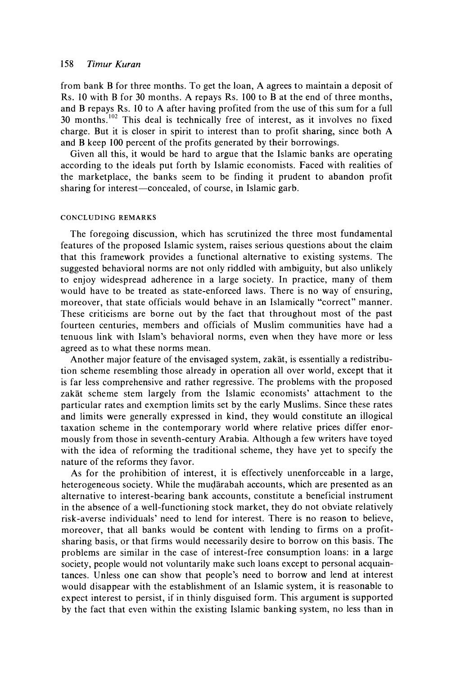**from bank B for three months. To get the loan, A agrees to maintain a deposit of Rs. 10 with B for 30 months. A repays Rs. 100 to B at the end of three months, and B repays Rs. 10 to A after having profited from the use of this sum for a full 30 months.102 This deal is technically free of interest, as it involves no fixed charge. But it is closer in spirit to interest than to profit sharing, since both A and B keep 100 percent of the profits generated by their borrowings.** 

**Given all this, it would be hard to argue that the Islamic banks are operating according to the ideals put forth by Islamic economists. Faced with realities of the marketplace, the banks seem to be finding it prudent to abandon profit**  sharing for interest—concealed, of course, in Islamic garb.

#### **CONCLUDING REMARKS**

**The foregoing discussion, which has scrutinized the three most fundamental features of the proposed Islamic system, raises serious questions about the claim that this framework provides a functional alternative to existing systems. The suggested behavioral norms are not only riddled with ambiguity, but also unlikely to enjoy widespread adherence in a large society. In practice, many of them would have to be treated as state-enforced laws. There is no way of ensuring, moreover, that state officials would behave in an Islamically "correct" manner. These criticisms are borne out by the fact that throughout most of the past fourteen centuries, members and officials of Muslim communities have had a tenuous link with Islam's behavioral norms, even when they have more or less agreed as to what these norms mean.** 

Another major feature of the envisaged system, zakāt, is essentially a redistribu**tion scheme resembling those already in operation all over world, except that it is far less comprehensive and rather regressive. The problems with the proposed zakat scheme stem largely from the Islamic economists' attachment to the particular rates and exemption limits set by the early Muslims. Since these rates and limits were generally expressed in kind, they would constitute an illogical taxation scheme in the contemporary world where relative prices differ enormously from those in seventh-century Arabia. Although a few writers have toyed with the idea of reforming the traditional scheme, they have yet to specify the nature of the reforms they favor.** 

**As for the prohibition of interest, it is effectively unenforceable in a large, heterogeneous society. While the mudarabah accounts, which are presented as an alternative to interest-bearing bank accounts, constitute a beneficial instrument in the absence of a well-functioning stock market, they do not obviate relatively risk-averse individuals' need to lend for interest. There is no reason to believe, moreover, that all banks would be content with lending to firms on a profitsharing basis, or that firms would necessarily desire to borrow on this basis. The problems are similar in the case of interest-free consumption loans: in a large society, people would not voluntarily make such loans except to personal acquaintances. Unless one can show that people's need to borrow and lend at interest would disappear with the establishment of an Islamic system, it is reasonable to expect interest to persist, if in thinly disguised form. This argument is supported by the fact that even within the existing Islamic banking system, no less than in**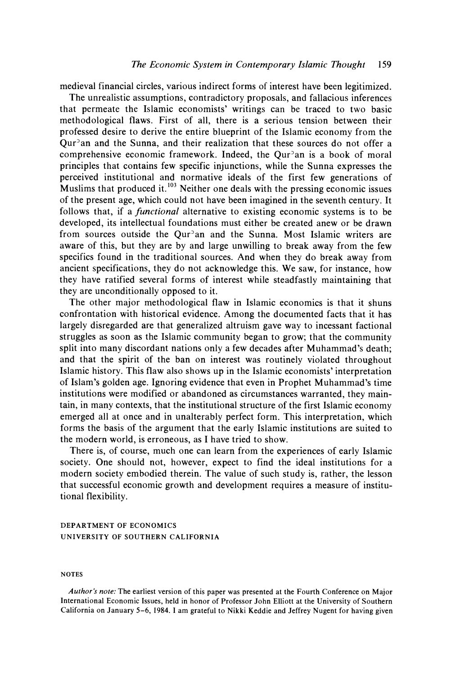**medieval financial circles, various indirect forms of interest have been legitimized.** 

**The unrealistic assumptions, contradictory proposals, and fallacious inferences that permeate the Islamic economists' writings can be traced to two basic methodological flaws. First of all, there is a serious tension between their professed desire to derive the entire blueprint of the Islamic economy from the Qur'an and the Sunna, and their realization that these sources do not offer a comprehensive economic framework. Indeed, the Qur'an is a book of moral principles that contains few specific injunctions, while the Sunna expresses the perceived institutional and normative ideals of the first few generations of Muslims that produced it.103 Neither one deals with the pressing economic issues of the present age, which could not have been imagined in the seventh century. It follows that, if a functional alternative to existing economic systems is to be developed, its intellectual foundations must either be created anew or be drawn from sources outside the Qur'an and the Sunna. Most Islamic writers are aware of this, but they are by and large unwilling to break away from the few specifics found in the traditional sources. And when they do break away from ancient specifications, they do not acknowledge this. We saw, for instance, how they have ratified several forms of interest while steadfastly maintaining that they are unconditionally opposed to it.** 

**The other major methodological flaw in Islamic economics is that it shuns confrontation with historical evidence. Among the documented facts that it has largely disregarded are that generalized altruism gave way to incessant factional struggles as soon as the Islamic community began to grow; that the community split into many discordant nations only a few decades after Muhammad's death; and that the spirit of the ban on interest was routinely violated throughout Islamic history. This flaw also shows up in the Islamic economists' interpretation of Islam's golden age. Ignoring evidence that even in Prophet Muhammad's time institutions were modified or abandoned as circumstances warranted, they maintain, in many contexts, that the institutional structure of the first Islamic economy emerged all at once and in unalterably perfect form. This interpretation, which forms the basis of the argument that the early Islamic institutions are suited to the modern world, is erroneous, as I have tried to show.** 

**There is, of course, much one can learn from the experiences of early Islamic society. One should not, however, expect to find the ideal institutions for a modern society embodied therein. The value of such study is, rather, the lesson that successful economic growth and development requires a measure of institutional flexibility.** 

**DEPARTMENT OF ECONOMICS UNIVERSITY OF SOUTHERN CALIFORNIA** 

#### **NOTES**

**Author's note: The earliest version of this paper was presented at the Fourth Conference on Major International Economic Issues, held in honor of Professor John Elliott at the University of Southern California on January 5-6, 1984. I am grateful to Nikki Keddie and Jeffrey Nugent for having given**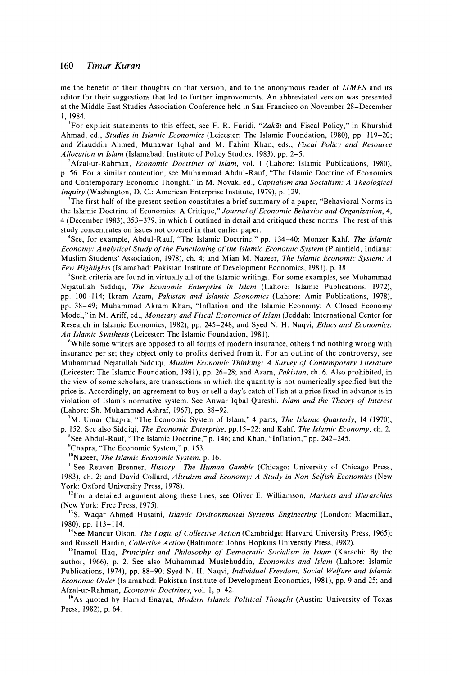**me the benefit of their thoughts on that version, and to the anonymous reader of IJMES and its editor for their suggestions that led to further improvements. An abbreviated version was presented at the Middle East Studies Association Conference held in San Francisco on November 28-December 1, 1984.** 

<sup>1</sup>For explicit statements to this effect, see F. R. Faridi, "Zakat and Fiscal Policy," in Khurshid **Ahmad, ed., Studies in Islamic Economics (Leicester: The Islamic Foundation, 1980), pp. 119-20; and Ziauddin Ahmed, Munawar Iqbal and M. Fahim Khan, eds., Fiscal Policy and Resource Allocation in Islam (Islamabad: Institute of Policy Studies, 1983), pp. 2-5.** 

<sup>2</sup>Afzal-ur-Rahman, *Economic Doctrines of Islam*, vol. 1 (Lahore: Islamic Publications, 1980), **p. 56. For a similar contention, see Muhammad Abdul-Rauf, "The Islamic Doctrine of Economics and Contemporary Economic Thought," in M. Novak, ed., Capitalism and Socialism: A Theological Inquiry (Washington, D. C.: American Enterprise Institute, 1979), p. 129.** 

**3The first half of the present section constitutes a brief summary of a paper, "Behavioral Norms in the Islamic Doctrine of Economics: A Critique," Journal of Economic Behavior and Organization, 4, 4 (December 1983), 353-379, in which I outlined in detail and critiqued these norms. The rest of this study concentrates on issues not covered in that earlier paper.** 

**4See, for example, Abdul-Rauf, "The Islamic Doctrine," pp. 134-40; Monzer Kahf, The Islamic Economy: Analytical Study of the Functioning of the Islamic Economic System (Plainfield, Indiana: Muslim Students' Association, 1978), ch. 4; and Mian M. Nazeer, The Islamic Economic System: A Few Highlights (Islamabad: Pakistan Institute of Development Economics, 1981), p. 18.** 

**5Such criteria are found in virtually all of the Islamic writings. For some examples, see Muhammad Nejatullah Siddiqi, The Economic Enterprise in Islam (Lahore: Islamic Publications, 1972), pp. 100-114; Ikram Azam, Pakistan and Islamic Economics (Lahore: Amir Publications, 1978), pp. 38-49; Muhammad Akram Khan, "Inflation and the Islamic Economy: A Closed Economy Model," in M. Ariff, ed., Monetary and Fiscal Economics of Islam (Jeddah: International Center for Research in Islamic Economics, 1982), pp. 245-248; and Syed N. H. Naqvi, Ethics and Economics: An Islamic Synthesis (Leicester: The Islamic Foundation, 1981).** 

**6While some writers are opposed to all forms of modern insurance, others find nothing wrong with insurance per se; they object only to profits derived from it. For an outline of the controversy, see Muhammad Nejatullah Siddiqi, Muslim Economic Thinking. A Survey of Contemporary Literature (Leicester: The Islamic Foundation, 1981), pp. 26-28; and Azam, Pakistan, ch. 6. Also prohibited, in the view of some scholars, are transactions in which the quantity is not numerically specified but the price is. Accordingly, an agreement to buy or sell a day's catch of fish at a price fixed in advance is in violation of Islam's normative system. See Anwar Iqbal Qureshi, Islam and the Theory of Interest (Lahore: Sh. Muhammad Ashraf, 1967), pp. 88-92.** 

**7M. Umar Chapra, "The Economic System of Islam," 4 parts, The Islamic Quarterly, 14 (1970), p. 152. See also Siddiqi, The Economic Enterprise, pp.15-22; and Kahf, The Islamic Economy, ch. 2.** 

**8See Abdul-Rauf, "The Islamic Doctrine," p. 146; and Khan, "Inflation," pp. 242-245.** 

**9Chapra, "The Economic System," p. 153.** 

<sup>10</sup>Nazeer, *The Islamic Economic System*, p. 16.

<sup>11</sup>See Reuven Brenner, *History—The Human Gamble* (Chicago: University of Chicago Press, **1983), ch. 2; and David Collard, Altruism and Economy: A Study in Non-Selfish Economics (New York: Oxford University Press, 1978).** 

<sup>12</sup>For a detailed argument along these lines, see Oliver E. Williamson, *Markets and Hierarchies* **(New York: Free Press, 1975).** 

**13S. Waqar Ahmed Husaini, Islamic Environmental Systems Engineering (London: Macmillan, 1980), pp. 113-114.** 

<sup>14</sup>See Mancur Olson, *The Logic of Collective Action* (Cambridge: Harvard University Press, 1965); **and Russell Hardin, Collective Action (Baltimore: Johns Hopkins University Press, 1982).** 

<sup>15</sup>Inamul Haq, *Principles and Philosophy of Democratic Socialism in Islam* (Karachi: By the **author, 1966), p. 2. See also Muhammad Muslehuddin, Economics and Islam (Lahore: Islamic Publications, 1974), pp. 88-90; Syed N. H. Naqvi, Individual Freedom, Social Welfare and Islamic Economic Order (Islamabad: Pakistan Institute of Development Economics, 1981), pp. 9 and 25; and Afzal-ur-Rahman, Economic Doctrines, vol. 1, p. 42.** 

**16As quoted by Hamid Enayat, Modern Islamic Political Thought (Austin: University of Texas Press, 1982), p. 64.**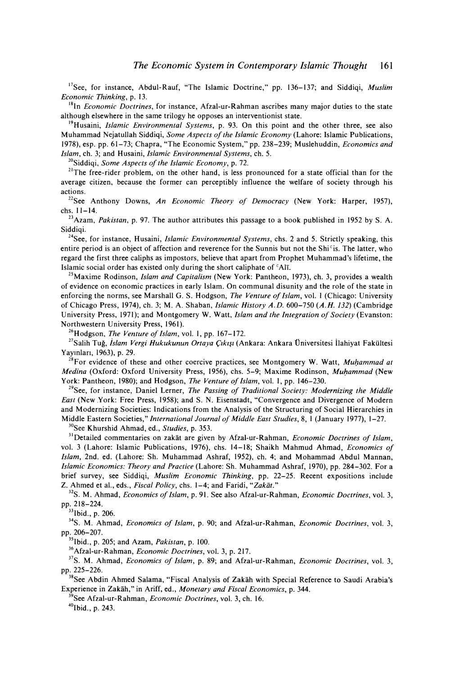<sup>17</sup>See, for instance, Abdul-Rauf, "The Islamic Doctrine," pp. 136–137; and Siddiqi, Muslim **Economic Thinking, p. 13.** 

**'8In Economic Doctrines, for instance, Afzal-ur-Rahman ascribes many major duties to the state although elsewhere in the same trilogy he opposes an interventionist state.** 

<sup>19</sup>Husaini, *Islamic Environmental Systems*, p. 93. On this point and the other three, see also **Muhammad Nejatullah Siddiqi, Some Aspects of the Islamic Economy (Lahore: Islamic Publications, 1978), esp. pp. 61-73; Chapra, "The Economic System," pp. 238-239; Muslehuddin, Economics and Islam, ch. 3; and Husaini, Islamic Environmental Systems, ch. 5.** 

**20Siddiqi, Some Aspects of the Islamic Economy, p. 72.** 

**2'The free-rider problem, on the other hand, is less pronounced for a state official than for the average citizen, because the former can perceptibly influence the welfare of society through his actions.** 

<sup>22</sup>See Anthony Downs, An Economic Theory of Democracy (New York: Harper, 1957), **chs. 11-14.** 

<sup>23</sup> Azam, *Pakistan*, p. 97. The author attributes this passage to a book published in 1952 by S. A. **Siddiqi.** 

<sup>24</sup>See, for instance, Husaini, *Islamic Environmental Systems*, chs. 2 and 5. Strictly speaking, this **entire period is an object of affection and reverence for the Sunnis but not the Shi'is. The latter, who regard the first three caliphs as impostors, believe that apart from Prophet Muhammad's lifetime, the**  Islamic social order has existed only during the short caliphate of <sup>c</sup>Alī.

<sup>25</sup>Maxime Rodinson, *Islam and Capitalism* (New York: Pantheon, 1973), ch. 3, provides a wealth **of evidence on economic practices in early Islam. On communal disunity and the role of the state in enforcing the norms, see Marshall G. S. Hodgson, The Venture of Islam, vol. 1 (Chicago: University of Chicago Press, 1974), ch. 3; M. A. Shaban, Islamic History A.D. 600-750 (A.H. 132) (Cambridge University Press, 1971); and Montgomery W. Watt, Islam and the Integration of Society (Evanston: Northwestern University Press, 1961).** 

**26Hodgson, The Venture of Islam, vol. 1, pp. 167-172.** 

<sup>27</sup>Salih Tuğ, *İslam Vergi Hukukunun Ortaya Çıkışı* (Ankara: Ankara Üniversitesi İlahiyat Fakültesi **Yayinlari, 1963), p. 29.** 

<sup>28</sup>For evidence of these and other coercive practices, see Montgomery W. Watt, *Muhammad at* **Medina (Oxford: Oxford University Press, 1956), chs. 5-9; Maxime Rodinson, Muhammad (New York: Pantheon, 1980); and Hodgson, The Venture of Islam, vol. 1, pp. 146-230.** 

**29See, for instance, Daniel Lerner, The Passing of Traditional Society: Modernizing the Middle East (New .York: Free Press, 1958); and S. N. Eisenstadt, "Convergence and Divergence of Modern and Modernizing Societies: Indications from the Analysis of the Structuring of Social Hierarchies in Middle Eastern Societies," International Journal of Middle East Studies, 8, 1 (January 1977), 1-27.** 

<sup>30</sup>See Khurshid Ahmad, ed., Studies, p. 353.

<sup>31</sup> Detailed commentaries on zakāt are given by Afzal-ur-Rahman, *Economic Doctrines of Islam*, **vol. 3 (Lahore: Islamic Publications, 1976), chs. 14-18; Shaikh Mahmud Ahmad, Economics of Islam, 2nd. ed. (Lahore: Sh. Muhammad Ashraf, 1952), ch. 4; and Mohammad Abdul Mannan, Islamic Economics: Theory and Practice (Lahore: Sh. Muhammad Ashraf, 1970), pp. 284-302. For a brief survey, see Siddiqi, Muslim Economic Thinking, pp. 22-25. Recent expositions include**  Z. Ahmed et al., eds., Fiscal Policy, chs. 1-4; and Faridi, "Zakāt."

<sup>32</sup>S. M. Ahmad, *Economics of Islam*, p. 91. See also Afzal-ur-Rahman, *Economic Doctrines*, vol. 3, **pp. 218-224.** 

**"Ibid., p. 206.** 

**34S. M. Ahmad, Economics of Islam, p. 90; and Afzal-ur-Rahman, Economic Doctrines, vol. 3, pp. 206-207.** 

**"Ibid., p. 205; and Azam, Pakistan, p. 100.** 

**36Afzal-ur-Rahman, Economic Doctrines, vol. 3, p. 217.** 

**37S. M. Ahmad, Economics of Islam, p. 89; and Afzal-ur-Rahman, Economic Doctrines, vol. 3, pp. 225-226.** 

<sup>38</sup> See Abdin Ahmed Salama, "Fiscal Analysis of Zakāh with Special Reference to Saudi Arabia's **Experience in Zakah," in Ariff, ed., Monetary and Fiscal Economics, p. 344.** 

**39See Afzal-ur-Rahman, Economic Doctrines, vol. 3, ch. 16.** 

**40Ibid., p. 243.**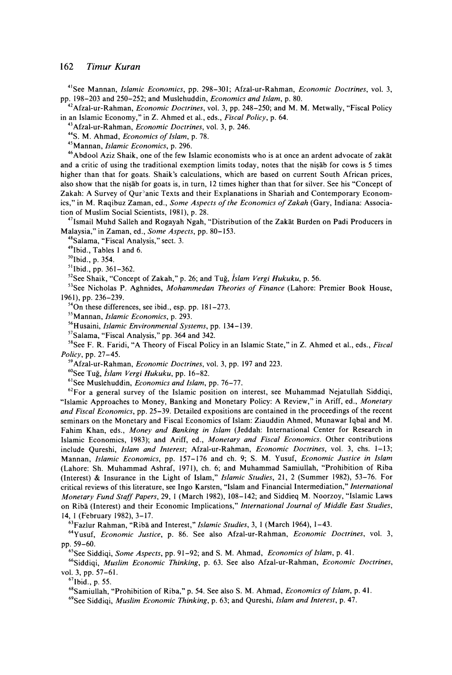**4'See Mannan, Islamic Economics, pp. 298-301; Afzal-ur-Rahman, Economic Doctrines, vol. 3, pp. 198-203 and 250-252; and Muslehuddin, Economics and Islam, p. 80.** 

**42Afzal-ur-Rahman, Economic Doctrines, vol. 3, pp. 248-250; and M. M. Metwally, "Fiscal Policy in an Islamic Economy," in Z. Ahmed et al., eds., Fiscal Policy, p. 64.** 

**43Afzal-ur-Rahman, Economic Doctrines, vol. 3, p. 246.** 

**44S. M. Ahmad, Economics of Islam, p. 78.** 

**45Mannan, Islamic Economics, p. 296.** 

**46Abdool Aziz Shaik, one of the few Islamic economists who is at once an ardent advocate of zakat and a critic of using the traditional exemption limits today, notes that the nisab for cows is 5 times higher than that for goats. Shaik's calculations, which are based on current South African prices, also show that the nisab for goats is, in turn, 12 times higher than that for silver. See his "Concept of Zakah: A Survey of Qur'anic Texts and their Explanations in Shariah and Contemporary Economics," in M. Raqibuz Zaman, ed., Some Aspects of the Economics of Zakah (Gary, Indiana: Association of Muslim Social Scientists, 1981), p. 28.** 

**47Ismail Muhd Salleh and Rogayah Ngah, "Distribution of the Zakat Burden on Padi Producers in Malaysia," in Zaman, ed., Some Aspects, pp. 80-153.** 

**48Salama, "Fiscal Analysis," sect. 3.** 

**49Ibid., Tables 1 and 6.** 

**50Ibid., p. 354.** 

**5Ibid., pp. 361-362.** 

<sup>52</sup>See Shaik, "Concept of Zakah," p. 26; and Tuğ, İslam Vergi Hukuku, p. 56.

**53See Nicholas P. Aghnides, Mohammedan Theories of Finance (Lahore: Premier Book House, 1961), pp. 236-239.** 

**54On these differences, see ibid., esp. pp. 181-273.** 

**55Mannan, Islamic Economics, p. 293.** 

**56Husaini, Islamic Environmental Systems, pp. 134-139.** 

**57Salama, "Fiscal Analysis," pp. 364 and 342.** 

**58See F. R. Faridi, "A Theory of Fiscal Policy in an Islamic State," in Z. Ahmed et al., eds., Fiscal Policy, pp. 27-45.** 

**59Afzal-ur-Rahman, Economic Doctrines, vol. 3, pp. 197 and 223.** 

**60See Tug, Islam Vergi Hukuku, pp. 16-82.** 

**61See Muslehuddin, Economics and Islam, pp. 76-77.** 

**62For a general survey of the Islamic position on interest, see Muhammad Nejatullah Siddiqi, "Islamic Approaches to Money, Banking and Monetary Policy: A Review," in Ariff, ed., Monetary and Fiscal Economics, pp. 25-39. Detailed expositions are contained in the proceedings of the recent seminars on the Monetary and Fiscal Economics of Islam: Ziauddin Ahmed, Munawar Iqbal and M. Fahim Khan, eds., Money and Banking in Islam (Jeddah: International Center for Research in Islamic Economics, 1983); and Ariff, ed., Monetary and Fiscal Economics. Other contributions include Qureshi, Islam and Interest; Afzal-ur-Rahman, Economic Doctrines, vol. 3, chs. 1-13; Mannan, Islamic Economics, pp. 157-176 and ch. 9; S. M. Yusuf, Economic Justice in Islam (Lahore: Sh. Muhammad Ashraf, 1971), ch. 6; and Muhammad Samiullah, "Prohibition of Riba (Interest) & Insurance in the Light of Islam," Islamic Studies, 21, 2 (Summer 1982), 53-76. For critical reviews of this literature, see Ingo Karsten, "Islam and Financial Intermediation," International Monetary Fund Staff Papers, 29, 1 (March 1982), 108-142; and Siddieq M. Noorzoy, "Islamic Laws on Riba (Interest) and their Economic Implications," International Journal of Middle East Studies, 14, 1 (February 1982), 3-17.** 

**63Fazlur Rahman, "Riba and Interest," Islamic Studies, 3, 1 (March 1964), 1-43.** 

**64Yusuf, Economic Justice, p. 86. See also Afzal-ur-Rahman, Economic Doctrines, vol. 3, pp. 59-60.** 

**65See Siddiqi, Some Aspects, pp. 91-92; and S. M. Ahmad, Economics of Islam, p. 41.** 

**66Siddiqi, Muslim Economic Thinking, p. 63. See also Afzal-ur-Rahman, Economic Doctrines, vol. 3, pp. 57-61.** 

**67Ibid., p. 55.** 

**68Samiullah, "Prohibition of Riba," p. 54. See also S. M. Ahmad, Economics of Islam, p. 41.** 

**69See Siddiqi, Muslim Economic Thinking, p. 63; and Qureshi, Islam and Interest, p. 47.**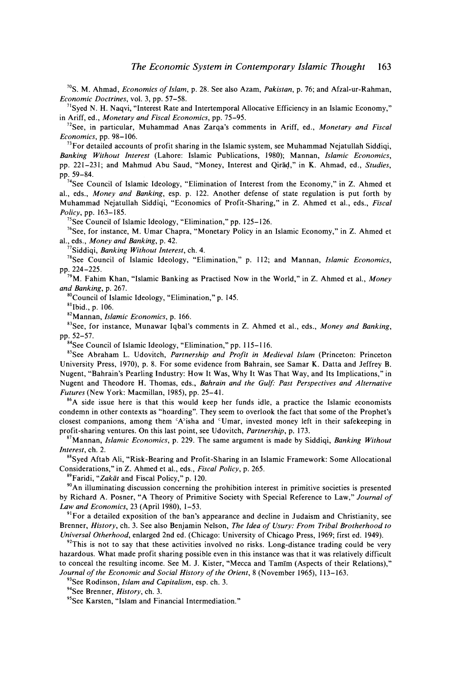**70S. M. Ahmad, Economics of Islam, p. 28. See also Azam, Pakistan, p. 76; and Afzal-ur-Rahman, Economic Doctrines, vol. 3, pp. 57-58.** 

**71Syed N. H. Naqvi, "Interest Rate and Intertemporal Allocative Efficiency in an Islamic Economy," in Ariff, ed., Monetary and Fiscal Economics, pp. 75-95.** 

**72See, in particular, Muhammad Anas Zarqa's comments in Ariff, ed., Monetary and Fiscal Economics, pp. 98-106.** 

**73For detailed accounts of profit sharing in the Islamic system, see Muhammad Nejatullah Siddiqi, Banking Without Interest (Lahore: Islamic Publications, 1980); Mannan, Islamic Economics, pp. 221-231; and Mahmud Abu Saud, "Money, Interest and Qirad," in K. Ahmad, ed., Studies, pp. 59-84.** 

**74See Council of Islamic Ideology, "Elimination of Interest from the Economy," in Z. Ahmed et al., eds., Money and Banking, esp. p. 122. Another defense of state regulation is put forth by Muhammad Nejatullah Siddiqi, "Economics of Profit-Sharing," in Z. Ahmed et al., eds., Fiscal Policy, pp. 163-185.** 

<sup>75</sup> See Council of Islamic Ideology, "Elimination," pp. 125–126.

**76See, for instance, M. Umar Chapra, "Monetary Policy in an Islamic Economy," in Z. Ahmed et al., eds., Money and Banking, p. 42.** 

**77Siddiqi, Banking Without Interest, ch. 4.** 

<sup>78</sup>See Council of Islamic Ideology, "Elimination," p. 112; and Mannan, *Islamic Economics*, **pp. 224-225.** 

**79M. Fahim Khan, "Islamic Banking as Practised Now in the World," in Z. Ahmed et al., Money and Banking, p. 267.** 

**80Council of Islamic Ideology, "Elimination," p. 145.** 

**81Ibid., p. 106.** 

**82Mannan, Islamic Economics, p. 166.** 

**83See, for instance, Munawar Iqbal's comments in Z. Ahmed et al., eds., Money and Banking, pp. 52-57.** 

**84See Council of Islamic Ideology, "Elimination," pp. 115-116.** 

<sup>85</sup>See Abraham L. Udovitch, *Partnership and Profit in Medieval Islam* (Princeton: Princeton **University Press, 1970), p. 8. For some evidence from Bahrain, see Samar K. Datta and Jeffrey B. Nugent, "Bahrain's Pearling Industry: How It Was, Why It Was That Way, and Its Implications," in Nugent and Theodore H. Thomas, eds., Bahrain and the Gulf: Past Perspectives and Alternative Futures (New York: Macmillan, 1985), pp. 25-41.** 

**86A side issue here is that this would keep her funds idle, a practice the Islamic economists condemn in other contexts as "hoarding". They seem to overlook the fact that some of the Prophet's closest companions, among them cA'isha and 'Umar, invested money left in their safekeeping in profit-sharing ventures. On this last point, see Udovitch, Partnership, p. 173.** 

**87Mannan, Islamic Economics, p. 229. The same argument is made by Siddiqi, Banking Without Interest, ch. 2.** 

**88Syed Aftab Ali, "Risk-Bearing and Profit-Sharing in an Islamic Framework: Some Allocational Considerations," in Z. Ahmed et al., eds., Fiscal Policy, p. 265.** 

<sup>9</sup> Faridi, "Zakāt and Fiscal Policy," p. 120.

**90An illuminating discussion concerning the prohibition interest in primitive societies is presented by Richard A. Posner, "A Theory of Primitive Society with Special Reference to Law," Journal of Law and Economics, 23 (April 1980), 1-53.** 

**91For a detailed exposition of the ban's appearance and decline in Judaism and Christianity, see Brenner, History, ch. 3. See also Benjamin Nelson, The Idea of Usury: From Tribal Brotherhood to Universal Otherhood, enlarged 2nd ed. (Chicago: University of Chicago Press, 1969; first ed. 1949).** 

<sup>92</sup>This is not to say that these activities involved no risks. Long-distance trading could be very **hazardous. What made profit sharing possible even in this instance was that it was relatively difficult**  to conceal the resulting income. See M. J. Kister, "Mecca and Tamim (Aspects of their Relations)," **Journal of the Economic and Social History of the Orient, 8 (November 1965), 113-163.** 

**93See Rodinson, Islam and Capitalism, esp. ch. 3.** 

**94See Brenner, History, ch. 3.** 

**95See Karsten, "Islam and Financial Intermediation."**